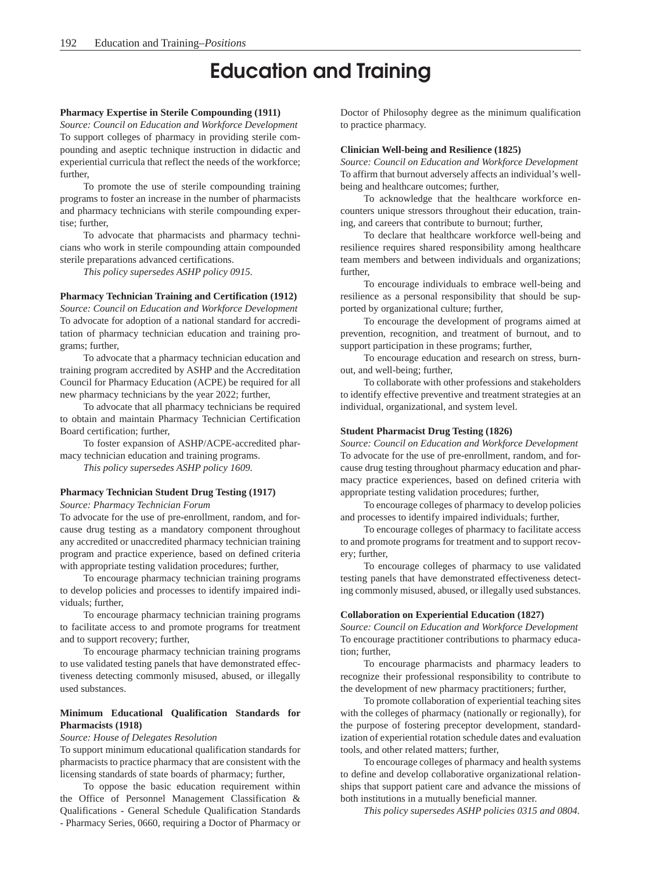# Education and Training

#### **Pharmacy Expertise in Sterile Compounding (1911)**

*Source: Council on Education and Workforce Development* To support colleges of pharmacy in providing sterile compounding and aseptic technique instruction in didactic and experiential curricula that reflect the needs of the workforce; further,

To promote the use of sterile compounding training programs to foster an increase in the number of pharmacists and pharmacy technicians with sterile compounding expertise; further,

To advocate that pharmacists and pharmacy technicians who work in sterile compounding attain compounded sterile preparations advanced certifications.

*This policy supersedes ASHP policy 0915.*

#### **Pharmacy Technician Training and Certification (1912)**

*Source: Council on Education and Workforce Development* To advocate for adoption of a national standard for accreditation of pharmacy technician education and training programs; further,

To advocate that a pharmacy technician education and training program accredited by ASHP and the Accreditation Council for Pharmacy Education (ACPE) be required for all new pharmacy technicians by the year 2022; further,

To advocate that all pharmacy technicians be required to obtain and maintain Pharmacy Technician Certification Board certification; further,

To foster expansion of ASHP/ACPE-accredited pharmacy technician education and training programs.

*This policy supersedes ASHP policy 1609.*

# **Pharmacy Technician Student Drug Testing (1917)**

*Source: Pharmacy Technician Forum*

To advocate for the use of pre-enrollment, random, and forcause drug testing as a mandatory component throughout any accredited or unaccredited pharmacy technician training program and practice experience, based on defined criteria with appropriate testing validation procedures; further,

To encourage pharmacy technician training programs to develop policies and processes to identify impaired individuals; further,

To encourage pharmacy technician training programs to facilitate access to and promote programs for treatment and to support recovery; further,

To encourage pharmacy technician training programs to use validated testing panels that have demonstrated effectiveness detecting commonly misused, abused, or illegally used substances.

#### **Minimum Educational Qualification Standards for Pharmacists (1918)**

#### *Source: House of Delegates Resolution*

To support minimum educational qualification standards for pharmacists to practice pharmacy that are consistent with the licensing standards of state boards of pharmacy; further,

To oppose the basic education requirement within the Office of Personnel Management Classification & Qualifications - General Schedule Qualification Standards - Pharmacy Series, 0660, requiring a Doctor of Pharmacy or

Doctor of Philosophy degree as the minimum qualification to practice pharmacy.

#### **Clinician Well-being and Resilience (1825)**

*Source: Council on Education and Workforce Development*  To affirm that burnout adversely affects an individual's wellbeing and healthcare outcomes; further,

To acknowledge that the healthcare workforce encounters unique stressors throughout their education, training, and careers that contribute to burnout; further,

To declare that healthcare workforce well-being and resilience requires shared responsibility among healthcare team members and between individuals and organizations; further,

To encourage individuals to embrace well-being and resilience as a personal responsibility that should be supported by organizational culture; further,

To encourage the development of programs aimed at prevention, recognition, and treatment of burnout, and to support participation in these programs; further,

To encourage education and research on stress, burnout, and well-being; further,

To collaborate with other professions and stakeholders to identify effective preventive and treatment strategies at an individual, organizational, and system level.

#### **Student Pharmacist Drug Testing (1826)**

*Source: Council on Education and Workforce Development*  To advocate for the use of pre-enrollment, random, and forcause drug testing throughout pharmacy education and pharmacy practice experiences, based on defined criteria with appropriate testing validation procedures; further,

To encourage colleges of pharmacy to develop policies and processes to identify impaired individuals; further,

To encourage colleges of pharmacy to facilitate access to and promote programs for treatment and to support recovery; further,

To encourage colleges of pharmacy to use validated testing panels that have demonstrated effectiveness detecting commonly misused, abused, or illegally used substances.

#### **Collaboration on Experiential Education (1827)**

*Source: Council on Education and Workforce Development*  To encourage practitioner contributions to pharmacy education; further,

To encourage pharmacists and pharmacy leaders to recognize their professional responsibility to contribute to the development of new pharmacy practitioners; further,

To promote collaboration of experiential teaching sites with the colleges of pharmacy (nationally or regionally), for the purpose of fostering preceptor development, standardization of experiential rotation schedule dates and evaluation tools, and other related matters; further,

To encourage colleges of pharmacy and health systems to define and develop collaborative organizational relationships that support patient care and advance the missions of both institutions in a mutually beneficial manner.

*This policy supersedes ASHP policies 0315 and 0804.*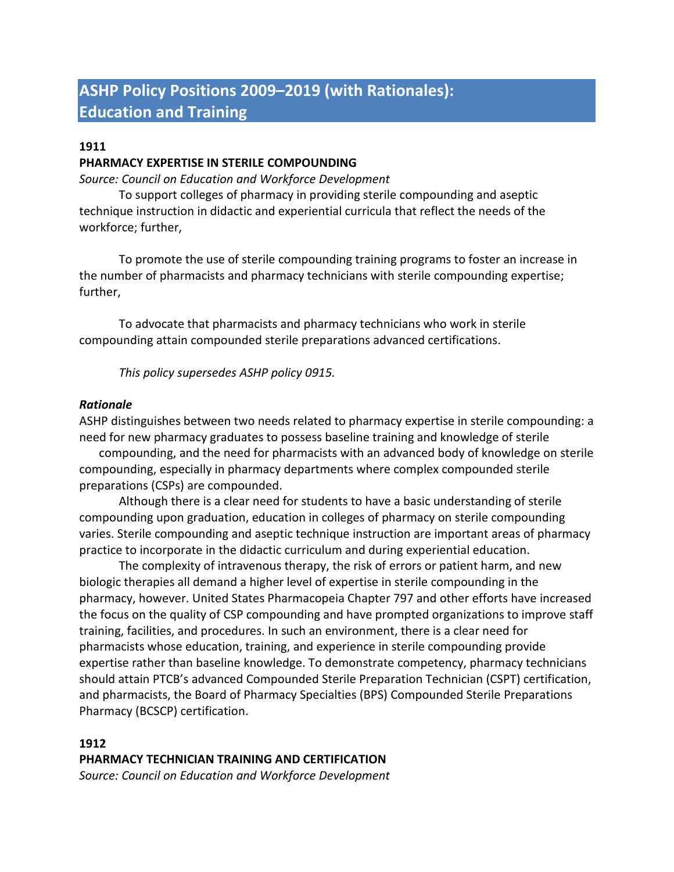# **ASHP Policy Positions 2009–2019 (with Rationales): Education and Training**

# **1911**

## **PHARMACY EXPERTISE IN STERILE COMPOUNDING**

*Source: Council on Education and Workforce Development*

To support colleges of pharmacy in providing sterile compounding and aseptic technique instruction in didactic and experiential curricula that reflect the needs of the workforce; further,

To promote the use of sterile compounding training programs to foster an increase in the number of pharmacists and pharmacy technicians with sterile compounding expertise; further,

To advocate that pharmacists and pharmacy technicians who work in sterile compounding attain compounded sterile preparations advanced certifications.

*This policy supersedes ASHP policy 0915.*

## *Rationale*

ASHP distinguishes between two needs related to pharmacy expertise in sterile compounding: a need for new pharmacy graduates to possess baseline training and knowledge of sterile

compounding, and the need for pharmacists with an advanced body of knowledge on sterile compounding, especially in pharmacy departments where complex compounded sterile preparations (CSPs) are compounded.

Although there is a clear need for students to have a basic understanding of sterile compounding upon graduation, education in colleges of pharmacy on sterile compounding varies. Sterile compounding and aseptic technique instruction are important areas of pharmacy practice to incorporate in the didactic curriculum and during experiential education.

The complexity of intravenous therapy, the risk of errors or patient harm, and new biologic therapies all demand a higher level of expertise in sterile compounding in the pharmacy, however. United States Pharmacopeia Chapter 797 and other efforts have increased the focus on the quality of CSP compounding and have prompted organizations to improve staff training, facilities, and procedures. In such an environment, there is a clear need for pharmacists whose education, training, and experience in sterile compounding provide expertise rather than baseline knowledge. To demonstrate competency, pharmacy technicians should attain PTCB's advanced Compounded Sterile Preparation Technician (CSPT) certification, and pharmacists, the Board of Pharmacy Specialties (BPS) Compounded Sterile Preparations Pharmacy (BCSCP) certification.

## **1912**

## **PHARMACY TECHNICIAN TRAINING AND CERTIFICATION**

*Source: Council on Education and Workforce Development*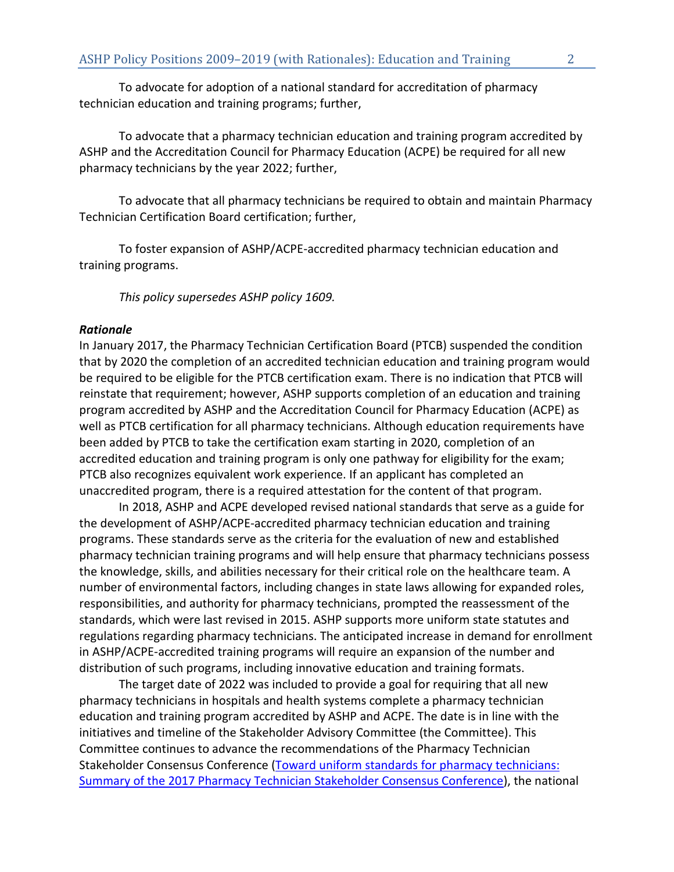To advocate for adoption of a national standard for accreditation of pharmacy technician education and training programs; further,

To advocate that a pharmacy technician education and training program accredited by ASHP and the Accreditation Council for Pharmacy Education (ACPE) be required for all new pharmacy technicians by the year 2022; further,

To advocate that all pharmacy technicians be required to obtain and maintain Pharmacy Technician Certification Board certification; further,

To foster expansion of ASHP/ACPE-accredited pharmacy technician education and training programs.

*This policy supersedes ASHP policy 1609.*

## *Rationale*

In January 2017, the Pharmacy Technician Certification Board (PTCB) suspended the condition that by 2020 the completion of an accredited technician education and training program would be required to be eligible for the PTCB certification exam. There is no indication that PTCB will reinstate that requirement; however, ASHP supports completion of an education and training program accredited by ASHP and the Accreditation Council for Pharmacy Education (ACPE) as well as PTCB certification for all pharmacy technicians. Although education requirements have been added by PTCB to take the certification exam starting in 2020, completion of an accredited education and training program is only one pathway for eligibility for the exam; PTCB also recognizes equivalent work experience. If an applicant has completed an unaccredited program, there is a required attestation for the content of that program.

In 2018, ASHP and ACPE developed revised national standards that serve as a guide for the development of ASHP/ACPE-accredited pharmacy technician education and training programs. These standards serve as the criteria for the evaluation of new and established pharmacy technician training programs and will help ensure that pharmacy technicians possess the knowledge, skills, and abilities necessary for their critical role on the healthcare team. A number of environmental factors, including changes in state laws allowing for expanded roles, responsibilities, and authority for pharmacy technicians, prompted the reassessment of the standards, which were last revised in 2015. ASHP supports more uniform state statutes and regulations regarding pharmacy technicians. The anticipated increase in demand for enrollment in ASHP/ACPE-accredited training programs will require an expansion of the number and distribution of such programs, including innovative education and training formats.

The target date of 2022 was included to provide a goal for requiring that all new pharmacy technicians in hospitals and health systems complete a pharmacy technician education and training program accredited by ASHP and ACPE. The date is in line with the initiatives and timeline of the Stakeholder Advisory Committee (the Committee). This Committee continues to advance the recommendations of the Pharmacy Technician Stakeholder Consensus Conference [\(Toward uniform standards for pharmacy technicians:](http://www.ajhp.org/content/early/2017/06/07/ajhp170283)  [Summary of the 2017 Pharmacy Technician Stakeholder Consensus Conference\)](http://www.ajhp.org/content/early/2017/06/07/ajhp170283), the national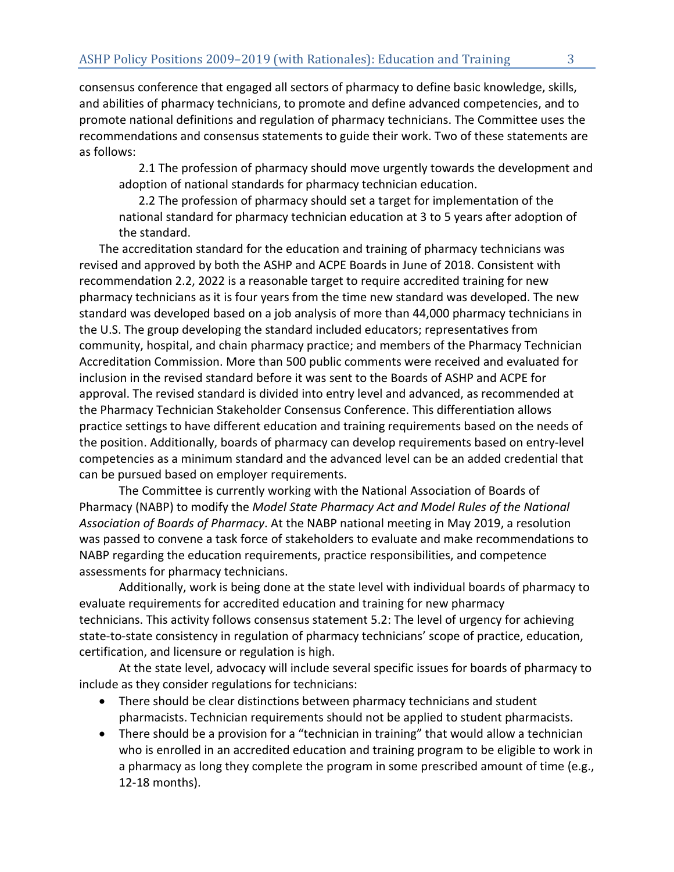consensus conference that engaged all sectors of pharmacy to define basic knowledge, skills, and abilities of pharmacy technicians, to promote and define advanced competencies, and to promote national definitions and regulation of pharmacy technicians. The Committee uses the recommendations and consensus statements to guide their work. Two of these statements are as follows:

2.1 The profession of pharmacy should move urgently towards the development and adoption of national standards for pharmacy technician education.

2.2 The profession of pharmacy should set a target for implementation of the national standard for pharmacy technician education at 3 to 5 years after adoption of the standard.

The accreditation standard for the education and training of pharmacy technicians was revised and approved by both the ASHP and ACPE Boards in June of 2018. Consistent with recommendation 2.2, 2022 is a reasonable target to require accredited training for new pharmacy technicians as it is four years from the time new standard was developed. The new standard was developed based on a job analysis of more than 44,000 pharmacy technicians in the U.S. The group developing the standard included educators; representatives from community, hospital, and chain pharmacy practice; and members of the Pharmacy Technician Accreditation Commission. More than 500 public comments were received and evaluated for inclusion in the revised standard before it was sent to the Boards of ASHP and ACPE for approval. The revised standard is divided into entry level and advanced, as recommended at the Pharmacy Technician Stakeholder Consensus Conference. This differentiation allows practice settings to have different education and training requirements based on the needs of the position. Additionally, boards of pharmacy can develop requirements based on entry-level competencies as a minimum standard and the advanced level can be an added credential that can be pursued based on employer requirements.

The Committee is currently working with the National Association of Boards of Pharmacy (NABP) to modify the *Model State Pharmacy Act and Model Rules of the National Association of Boards of Pharmacy*. At the NABP national meeting in May 2019, a resolution was passed to convene a task force of stakeholders to evaluate and make recommendations to NABP regarding the education requirements, practice responsibilities, and competence assessments for pharmacy technicians.

Additionally, work is being done at the state level with individual boards of pharmacy to evaluate requirements for accredited education and training for new pharmacy technicians. This activity follows consensus statement 5.2: The level of urgency for achieving state-to-state consistency in regulation of pharmacy technicians' scope of practice, education, certification, and licensure or regulation is high.

At the state level, advocacy will include several specific issues for boards of pharmacy to include as they consider regulations for technicians:

- There should be clear distinctions between pharmacy technicians and student pharmacists. Technician requirements should not be applied to student pharmacists.
- There should be a provision for a "technician in training" that would allow a technician who is enrolled in an accredited education and training program to be eligible to work in a pharmacy as long they complete the program in some prescribed amount of time (e.g., 12-18 months).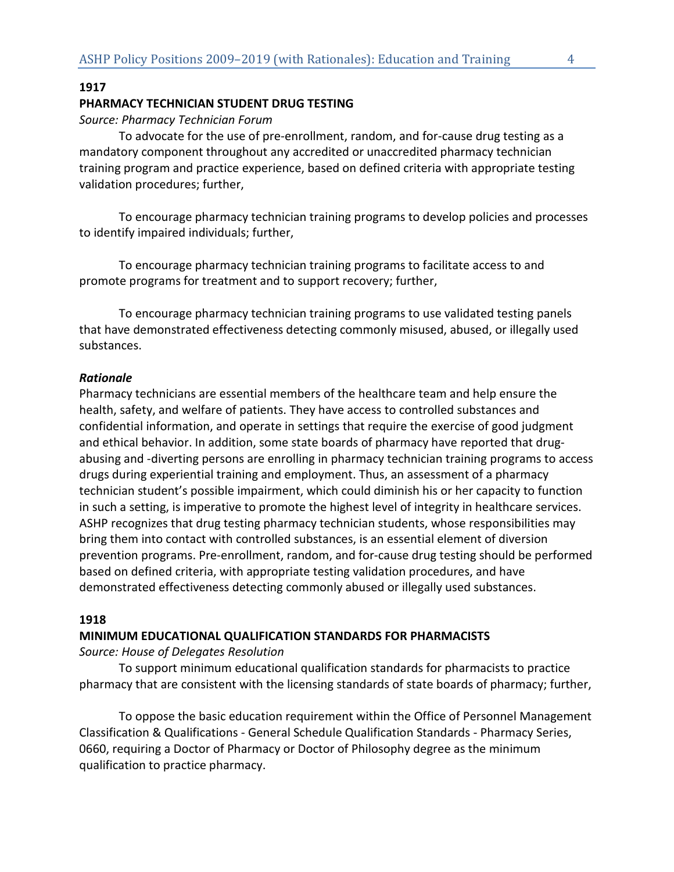## **1917**

## **PHARMACY TECHNICIAN STUDENT DRUG TESTING**

## *Source: Pharmacy Technician Forum*

To advocate for the use of pre-enrollment, random, and for-cause drug testing as a mandatory component throughout any accredited or unaccredited pharmacy technician training program and practice experience, based on defined criteria with appropriate testing validation procedures; further,

To encourage pharmacy technician training programs to develop policies and processes to identify impaired individuals; further,

To encourage pharmacy technician training programs to facilitate access to and promote programs for treatment and to support recovery; further,

To encourage pharmacy technician training programs to use validated testing panels that have demonstrated effectiveness detecting commonly misused, abused, or illegally used substances.

## *Rationale*

Pharmacy technicians are essential members of the healthcare team and help ensure the health, safety, and welfare of patients. They have access to controlled substances and confidential information, and operate in settings that require the exercise of good judgment and ethical behavior. In addition, some state boards of pharmacy have reported that drugabusing and -diverting persons are enrolling in pharmacy technician training programs to access drugs during experiential training and employment. Thus, an assessment of a pharmacy technician student's possible impairment, which could diminish his or her capacity to function in such a setting, is imperative to promote the highest level of integrity in healthcare services. ASHP recognizes that drug testing pharmacy technician students, whose responsibilities may bring them into contact with controlled substances, is an essential element of diversion prevention programs. Pre-enrollment, random, and for-cause drug testing should be performed based on defined criteria, with appropriate testing validation procedures, and have demonstrated effectiveness detecting commonly abused or illegally used substances.

## **1918**

#### **MINIMUM EDUCATIONAL QUALIFICATION STANDARDS FOR PHARMACISTS**

*Source: House of Delegates Resolution* 

To support minimum educational qualification standards for pharmacists to practice pharmacy that are consistent with the licensing standards of state boards of pharmacy; further,

To oppose the basic education requirement within the Office of Personnel Management Classification & Qualifications - General Schedule Qualification Standards - Pharmacy Series, 0660, requiring a Doctor of Pharmacy or Doctor of Philosophy degree as the minimum qualification to practice pharmacy.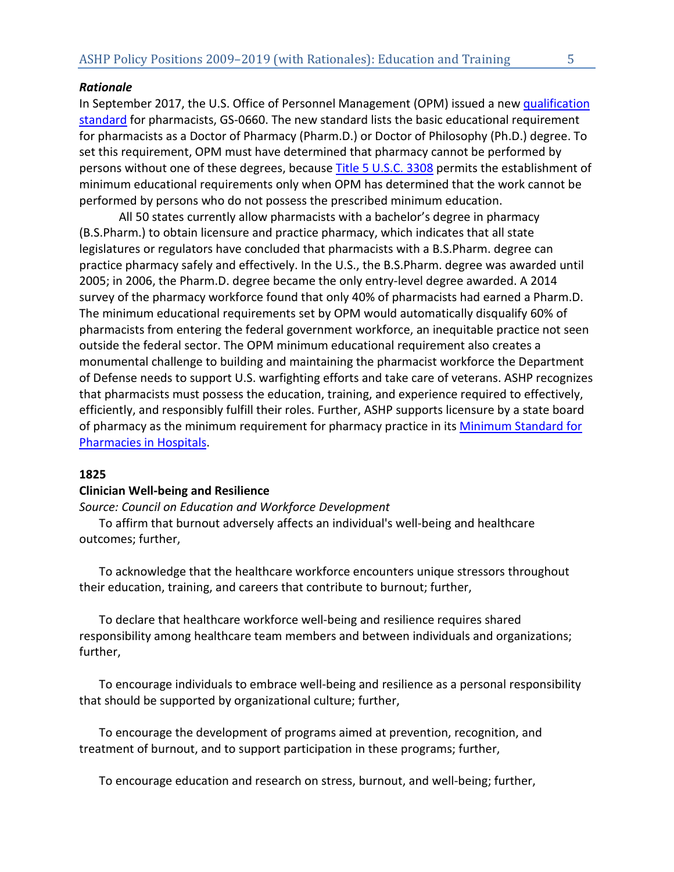## *Rationale*

In September 2017, the U.S. Office of Personnel Management (OPM) issued a new [qualification](https://www.opm.gov/policy-data-oversight/classification-qualifications/general-schedule-qualification-standards/0600/pharmacist-series-0660/)  [standard](https://www.opm.gov/policy-data-oversight/classification-qualifications/general-schedule-qualification-standards/0600/pharmacist-series-0660/) for pharmacists, GS-0660. The new standard lists the basic educational requirement for pharmacists as a Doctor of Pharmacy (Pharm.D.) or Doctor of Philosophy (Ph.D.) degree. To set this requirement, OPM must have determined that pharmacy cannot be performed by persons without one of these degrees, because [Title 5 U.S.C. 3308](https://www.law.cornell.edu/uscode/text/5/3308) permits the establishment of minimum educational requirements only when OPM has determined that the work cannot be performed by persons who do not possess the prescribed minimum education.

All 50 states currently allow pharmacists with a bachelor's degree in pharmacy (B.S.Pharm.) to obtain licensure and practice pharmacy, which indicates that all state legislatures or regulators have concluded that pharmacists with a B.S.Pharm. degree can practice pharmacy safely and effectively. In the U.S., the B.S.Pharm. degree was awarded until 2005; in 2006, the Pharm.D. degree became the only entry-level degree awarded. A 2014 survey of the pharmacy workforce found that only 40% of pharmacists had earned a Pharm.D. The minimum educational requirements set by OPM would automatically disqualify 60% of pharmacists from entering the federal government workforce, an inequitable practice not seen outside the federal sector. The OPM minimum educational requirement also creates a monumental challenge to building and maintaining the pharmacist workforce the Department of Defense needs to support U.S. warfighting efforts and take care of veterans. ASHP recognizes that pharmacists must possess the education, training, and experience required to effectively, efficiently, and responsibly fulfill their roles. Further, ASHP supports licensure by a state board of pharmacy as the minimum requirement for pharmacy practice in its [Minimum Standard for](https://www.ashp.org/-/media/assets/policy-guidelines/docs/guidelines/minimum-standard-pharmacies-hospitals.ashx)  [Pharmacies in Hospitals.](https://www.ashp.org/-/media/assets/policy-guidelines/docs/guidelines/minimum-standard-pharmacies-hospitals.ashx)

## **1825**

#### **Clinician Well-being and Resilience**

*Source: Council on Education and Workforce Development* 

To affirm that burnout adversely affects an individual's well-being and healthcare outcomes; further,

To acknowledge that the healthcare workforce encounters unique stressors throughout their education, training, and careers that contribute to burnout; further,

To declare that healthcare workforce well-being and resilience requires shared responsibility among healthcare team members and between individuals and organizations; further,

To encourage individuals to embrace well-being and resilience as a personal responsibility that should be supported by organizational culture; further,

To encourage the development of programs aimed at prevention, recognition, and treatment of burnout, and to support participation in these programs; further,

To encourage education and research on stress, burnout, and well-being; further,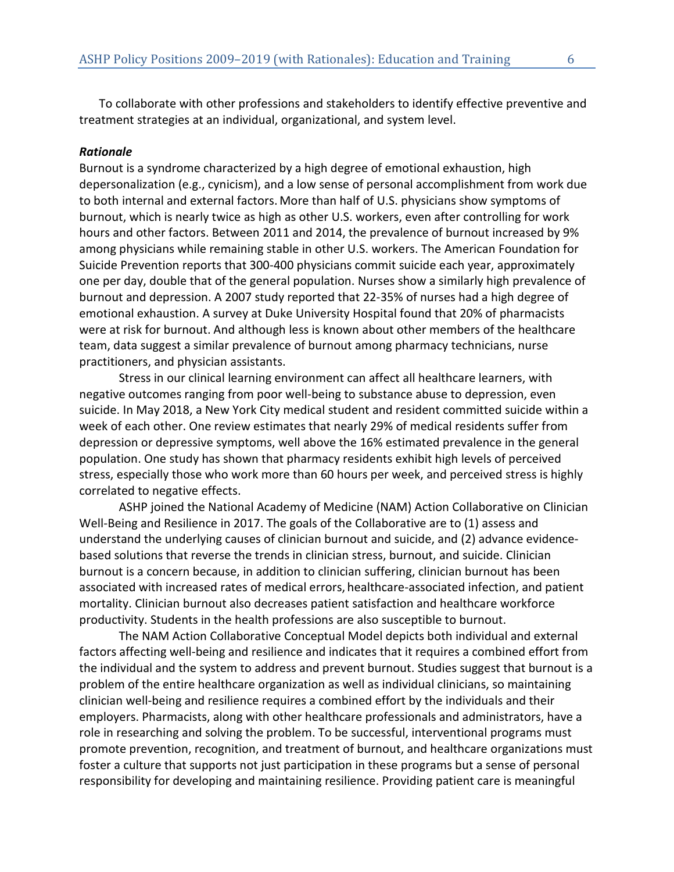To collaborate with other professions and stakeholders to identify effective preventive and treatment strategies at an individual, organizational, and system level.

## *Rationale*

Burnout is a syndrome characterized by a high degree of emotional exhaustion, high depersonalization (e.g., cynicism), and a low sense of personal accomplishment from work due to both internal and external factors. More than half of U.S. physicians show symptoms of burnout, which is nearly twice as high as other U.S. workers, even after controlling for work hours and other factors. Between 2011 and 2014, the prevalence of burnout increased by 9% among physicians while remaining stable in other U.S. workers. The American Foundation for Suicide Prevention reports that 300-400 physicians commit suicide each year, approximately one per day, double that of the general population. Nurses show a similarly high prevalence of burnout and depression. A 2007 study reported that 22-35% of nurses had a high degree of emotional exhaustion. A survey at Duke University Hospital found that 20% of pharmacists were at risk for burnout. And although less is known about other members of the healthcare team, data suggest a similar prevalence of burnout among pharmacy technicians, nurse practitioners, and physician assistants.

Stress in our clinical learning environment can affect all healthcare learners, with negative outcomes ranging from poor well-being to substance abuse to depression, even suicide. In May 2018, a New York City medical student and resident committed suicide within a week of each other. One review estimates that nearly 29% of medical residents suffer from depression or depressive symptoms, well above the 16% estimated prevalence in the general population. One study has shown that pharmacy residents exhibit high levels of perceived stress, especially those who work more than 60 hours per week, and perceived stress is highly correlated to negative effects.

ASHP joined the National Academy of Medicine (NAM) Action Collaborative on Clinician Well-Being and Resilience in 2017. The goals of the Collaborative are to (1) assess and understand the underlying causes of clinician burnout and suicide, and (2) advance evidencebased solutions that reverse the trends in clinician stress, burnout, and suicide. Clinician burnout is a concern because, in addition to clinician suffering, clinician burnout has been associated with increased rates of medical errors, healthcare-associated infection, and patient mortality. Clinician burnout also decreases patient satisfaction and healthcare workforce productivity. Students in the health professions are also susceptible to burnout.

The NAM Action Collaborative Conceptual Model depicts both individual and external factors affecting well-being and resilience and indicates that it requires a combined effort from the individual and the system to address and prevent burnout. Studies suggest that burnout is a problem of the entire healthcare organization as well as individual clinicians, so maintaining clinician well-being and resilience requires a combined effort by the individuals and their employers. Pharmacists, along with other healthcare professionals and administrators, have a role in researching and solving the problem. To be successful, interventional programs must promote prevention, recognition, and treatment of burnout, and healthcare organizations must foster a culture that supports not just participation in these programs but a sense of personal responsibility for developing and maintaining resilience. Providing patient care is meaningful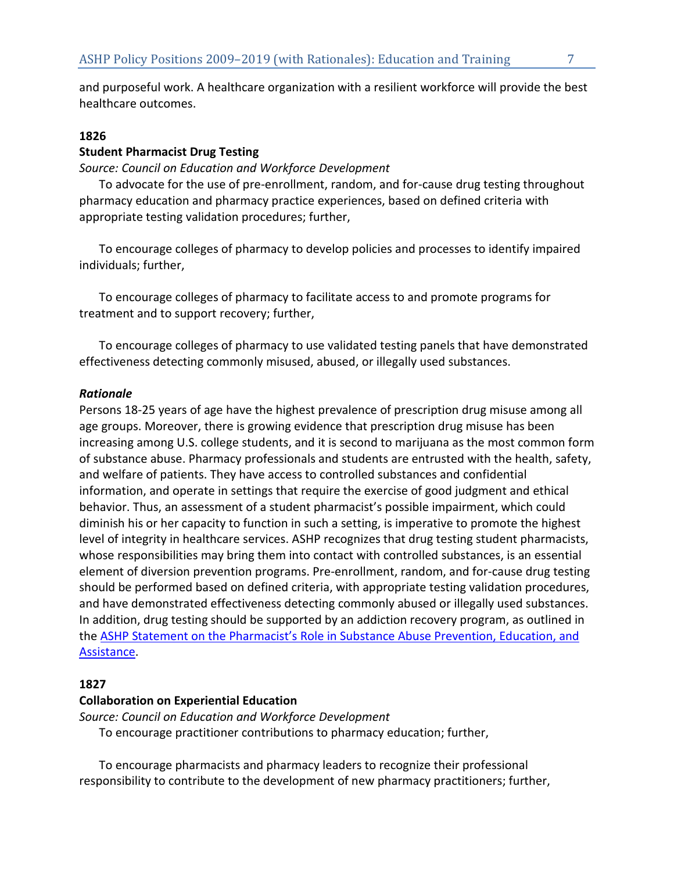and purposeful work. A healthcare organization with a resilient workforce will provide the best healthcare outcomes.

# **1826**

# **Student Pharmacist Drug Testing**

*Source: Council on Education and Workforce Development* 

To advocate for the use of pre-enrollment, random, and for-cause drug testing throughout pharmacy education and pharmacy practice experiences, based on defined criteria with appropriate testing validation procedures; further,

To encourage colleges of pharmacy to develop policies and processes to identify impaired individuals; further,

To encourage colleges of pharmacy to facilitate access to and promote programs for treatment and to support recovery; further,

To encourage colleges of pharmacy to use validated testing panels that have demonstrated effectiveness detecting commonly misused, abused, or illegally used substances.

## *Rationale*

Persons 18-25 years of age have the highest prevalence of prescription drug misuse among all age groups. Moreover, there is growing evidence that prescription drug misuse has been increasing among U.S. college students, and it is second to marijuana as the most common form of substance abuse. Pharmacy professionals and students are entrusted with the health, safety, and welfare of patients. They have access to controlled substances and confidential information, and operate in settings that require the exercise of good judgment and ethical behavior. Thus, an assessment of a student pharmacist's possible impairment, which could diminish his or her capacity to function in such a setting, is imperative to promote the highest level of integrity in healthcare services. ASHP recognizes that drug testing student pharmacists, whose responsibilities may bring them into contact with controlled substances, is an essential element of diversion prevention programs. Pre-enrollment, random, and for-cause drug testing should be performed based on defined criteria, with appropriate testing validation procedures, and have demonstrated effectiveness detecting commonly abused or illegally used substances. In addition, drug testing should be supported by an addiction recovery program, as outlined in the [ASHP Statement on the Pharmacist's Role in Substance Abuse Prevention, Education, and](https://www.ashp.org/-/media/assets/policy-guidelines/docs/statements/pharmacists-role-substance-abuse-prevention-education-assistance.ashx)  [Assistance.](https://www.ashp.org/-/media/assets/policy-guidelines/docs/statements/pharmacists-role-substance-abuse-prevention-education-assistance.ashx)

# **1827**

# **Collaboration on Experiential Education**

*Source: Council on Education and Workforce Development* 

To encourage practitioner contributions to pharmacy education; further,

To encourage pharmacists and pharmacy leaders to recognize their professional responsibility to contribute to the development of new pharmacy practitioners; further,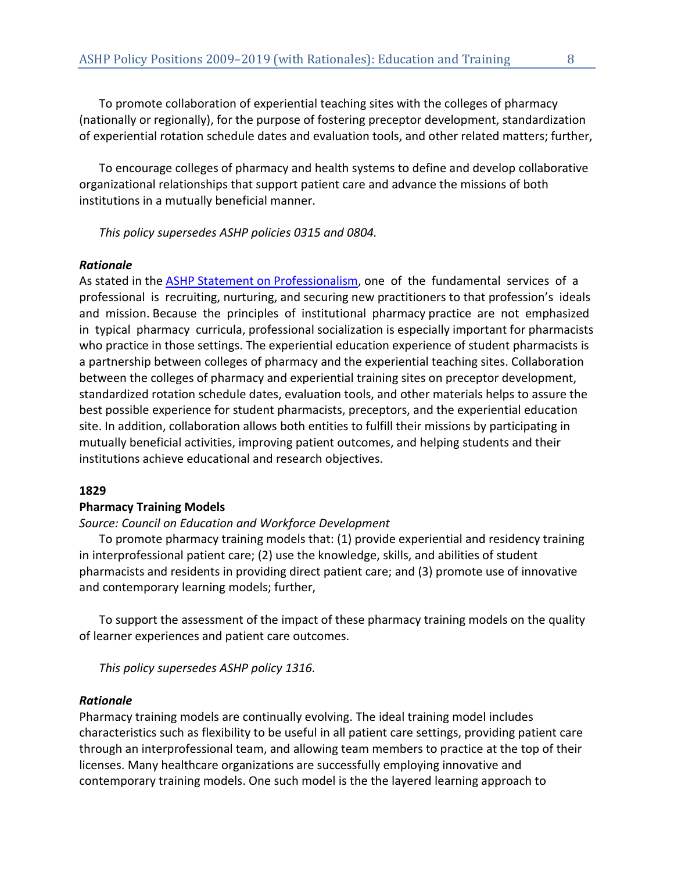To promote collaboration of experiential teaching sites with the colleges of pharmacy (nationally or regionally), for the purpose of fostering preceptor development, standardization of experiential rotation schedule dates and evaluation tools, and other related matters; further,

To encourage colleges of pharmacy and health systems to define and develop collaborative organizational relationships that support patient care and advance the missions of both institutions in a mutually beneficial manner.

*This policy supersedes ASHP policies 0315 and 0804.*

## *Rationale*

As stated in the [ASHP Statement on Professionalism,](https://www.ashp.org/-/media/assets/policy-guidelines/docs/statements/professionalism.ashx) one of the fundamental services of a professional is recruiting, nurturing, and securing new practitioners to that profession's ideals and mission. Because the principles of institutional pharmacy practice are not emphasized in typical pharmacy curricula, professional socialization is especially important for pharmacists who practice in those settings. The experiential education experience of student pharmacists is a partnership between colleges of pharmacy and the experiential teaching sites. Collaboration between the colleges of pharmacy and experiential training sites on preceptor development, standardized rotation schedule dates, evaluation tools, and other materials helps to assure the best possible experience for student pharmacists, preceptors, and the experiential education site. In addition, collaboration allows both entities to fulfill their missions by participating in mutually beneficial activities, improving patient outcomes, and helping students and their institutions achieve educational and research objectives.

## **1829**

## **Pharmacy Training Models**

## *Source: Council on Education and Workforce Development*

To promote pharmacy training models that: (1) provide experiential and residency training in interprofessional patient care; (2) use the knowledge, skills, and abilities of student pharmacists and residents in providing direct patient care; and (3) promote use of innovative and contemporary learning models; further,

To support the assessment of the impact of these pharmacy training models on the quality of learner experiences and patient care outcomes.

*This policy supersedes ASHP policy 1316.* 

## *Rationale*

Pharmacy training models are continually evolving. The ideal training model includes characteristics such as flexibility to be useful in all patient care settings, providing patient care through an interprofessional team, and allowing team members to practice at the top of their licenses. Many healthcare organizations are successfully employing innovative and contemporary training models. One such model is the the layered learning approach to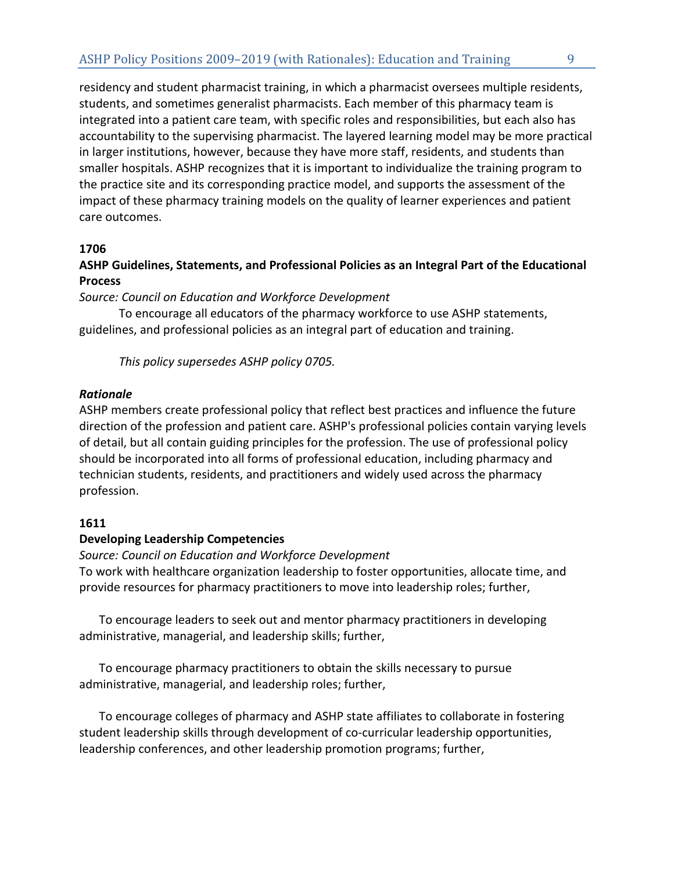residency and student pharmacist training, in which a pharmacist oversees multiple residents, students, and sometimes generalist pharmacists. Each member of this pharmacy team is integrated into a patient care team, with specific roles and responsibilities, but each also has accountability to the supervising pharmacist. The layered learning model may be more practical in larger institutions, however, because they have more staff, residents, and students than smaller hospitals. ASHP recognizes that it is important to individualize the training program to the practice site and its corresponding practice model, and supports the assessment of the impact of these pharmacy training models on the quality of learner experiences and patient care outcomes.

# **1706**

**ASHP Guidelines, Statements, and Professional Policies as an Integral Part of the Educational Process** 

*Source: Council on Education and Workforce Development*

To encourage all educators of the pharmacy workforce to use ASHP statements, guidelines, and professional policies as an integral part of education and training.

*This policy supersedes ASHP policy 0705.*

## *Rationale*

ASHP members create professional policy that reflect best practices and influence the future direction of the profession and patient care. ASHP's professional policies contain varying levels of detail, but all contain guiding principles for the profession. The use of professional policy should be incorporated into all forms of professional education, including pharmacy and technician students, residents, and practitioners and widely used across the pharmacy profession.

# **1611**

# **Developing Leadership Competencies**

*Source: Council on Education and Workforce Development* To work with healthcare organization leadership to foster opportunities, allocate time, and provide resources for pharmacy practitioners to move into leadership roles; further,

To encourage leaders to seek out and mentor pharmacy practitioners in developing administrative, managerial, and leadership skills; further,

To encourage pharmacy practitioners to obtain the skills necessary to pursue administrative, managerial, and leadership roles; further,

To encourage colleges of pharmacy and ASHP state affiliates to collaborate in fostering student leadership skills through development of co-curricular leadership opportunities, leadership conferences, and other leadership promotion programs; further,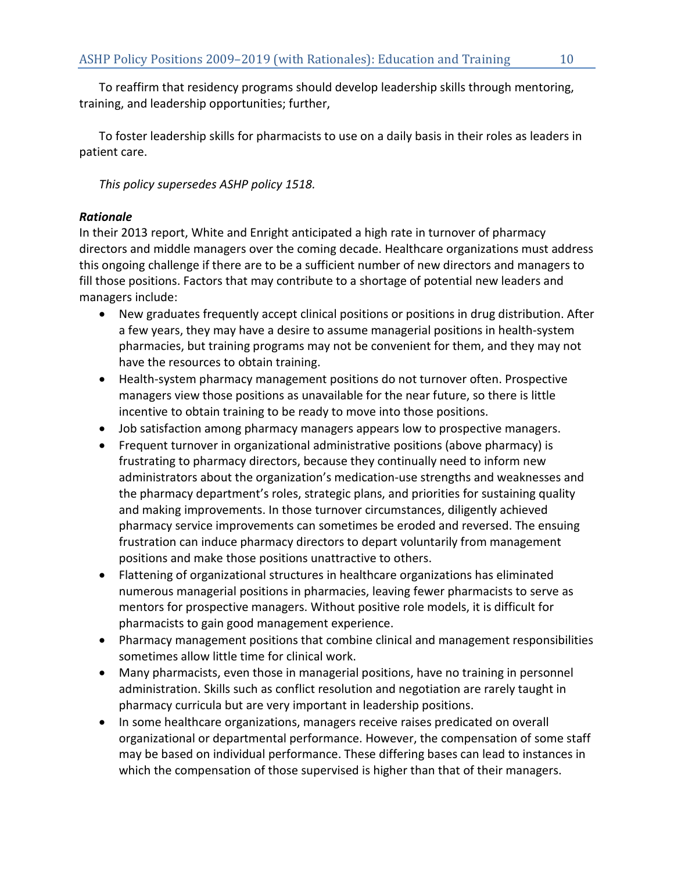To reaffirm that residency programs should develop leadership skills through mentoring, training, and leadership opportunities; further,

To foster leadership skills for pharmacists to use on a daily basis in their roles as leaders in patient care.

*This policy supersedes ASHP policy 1518.* 

# *Rationale*

In their 2013 report, White and Enright anticipated a high rate in turnover of pharmacy directors and middle managers over the coming decade. Healthcare organizations must address this ongoing challenge if there are to be a sufficient number of new directors and managers to fill those positions. Factors that may contribute to a shortage of potential new leaders and managers include:

- New graduates frequently accept clinical positions or positions in drug distribution. After a few years, they may have a desire to assume managerial positions in health-system pharmacies, but training programs may not be convenient for them, and they may not have the resources to obtain training.
- Health-system pharmacy management positions do not turnover often. Prospective managers view those positions as unavailable for the near future, so there is little incentive to obtain training to be ready to move into those positions.
- Job satisfaction among pharmacy managers appears low to prospective managers.
- Frequent turnover in organizational administrative positions (above pharmacy) is frustrating to pharmacy directors, because they continually need to inform new administrators about the organization's medication-use strengths and weaknesses and the pharmacy department's roles, strategic plans, and priorities for sustaining quality and making improvements. In those turnover circumstances, diligently achieved pharmacy service improvements can sometimes be eroded and reversed. The ensuing frustration can induce pharmacy directors to depart voluntarily from management positions and make those positions unattractive to others.
- Flattening of organizational structures in healthcare organizations has eliminated numerous managerial positions in pharmacies, leaving fewer pharmacists to serve as mentors for prospective managers. Without positive role models, it is difficult for pharmacists to gain good management experience.
- Pharmacy management positions that combine clinical and management responsibilities sometimes allow little time for clinical work.
- Many pharmacists, even those in managerial positions, have no training in personnel administration. Skills such as conflict resolution and negotiation are rarely taught in pharmacy curricula but are very important in leadership positions.
- In some healthcare organizations, managers receive raises predicated on overall organizational or departmental performance. However, the compensation of some staff may be based on individual performance. These differing bases can lead to instances in which the compensation of those supervised is higher than that of their managers.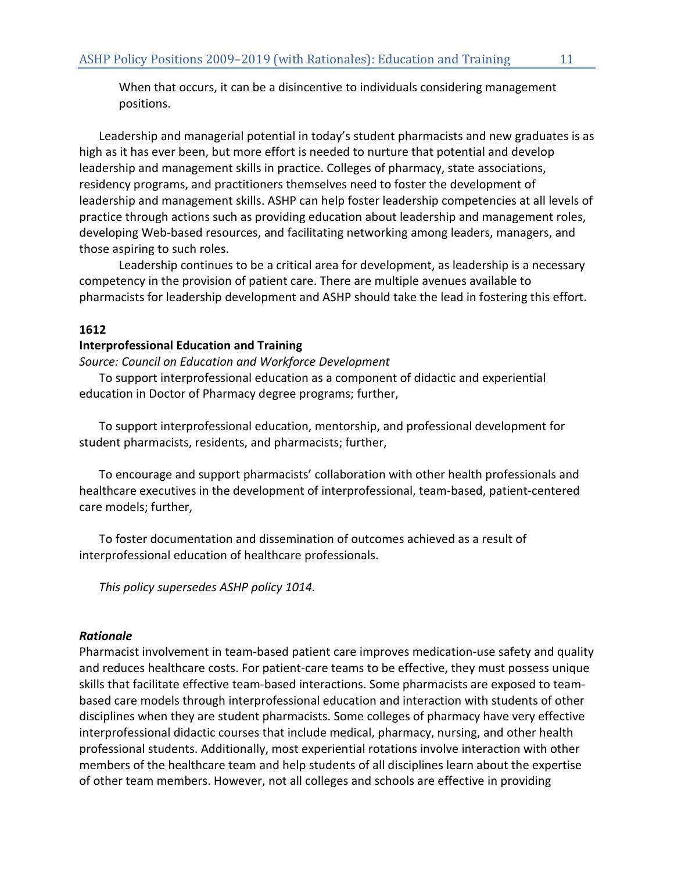When that occurs, it can be a disincentive to individuals considering management positions.

Leadership and managerial potential in today's student pharmacists and new graduates is as high as it has ever been, but more effort is needed to nurture that potential and develop leadership and management skills in practice. Colleges of pharmacy, state associations, residency programs, and practitioners themselves need to foster the development of leadership and management skills. ASHP can help foster leadership competencies at all levels of practice through actions such as providing education about leadership and management roles, developing Web-based resources, and facilitating networking among leaders, managers, and those aspiring to such roles.

Leadership continues to be a critical area for development, as leadership is a necessary competency in the provision of patient care. There are multiple avenues available to pharmacists for leadership development and ASHP should take the lead in fostering this effort.

# **1612**

## **Interprofessional Education and Training**

*Source: Council on Education and Workforce Development*

To support interprofessional education as a component of didactic and experiential education in Doctor of Pharmacy degree programs; further,

To support interprofessional education, mentorship, and professional development for student pharmacists, residents, and pharmacists; further,

To encourage and support pharmacists' collaboration with other health professionals and healthcare executives in the development of interprofessional, team-based, patient-centered care models; further,

To foster documentation and dissemination of outcomes achieved as a result of interprofessional education of healthcare professionals.

*This policy supersedes ASHP policy 1014.*

# *Rationale*

Pharmacist involvement in team-based patient care improves medication-use safety and quality and reduces healthcare costs. For patient-care teams to be effective, they must possess unique skills that facilitate effective team-based interactions. Some pharmacists are exposed to teambased care models through interprofessional education and interaction with students of other disciplines when they are student pharmacists. Some colleges of pharmacy have very effective interprofessional didactic courses that include medical, pharmacy, nursing, and other health professional students. Additionally, most experiential rotations involve interaction with other members of the healthcare team and help students of all disciplines learn about the expertise of other team members. However, not all colleges and schools are effective in providing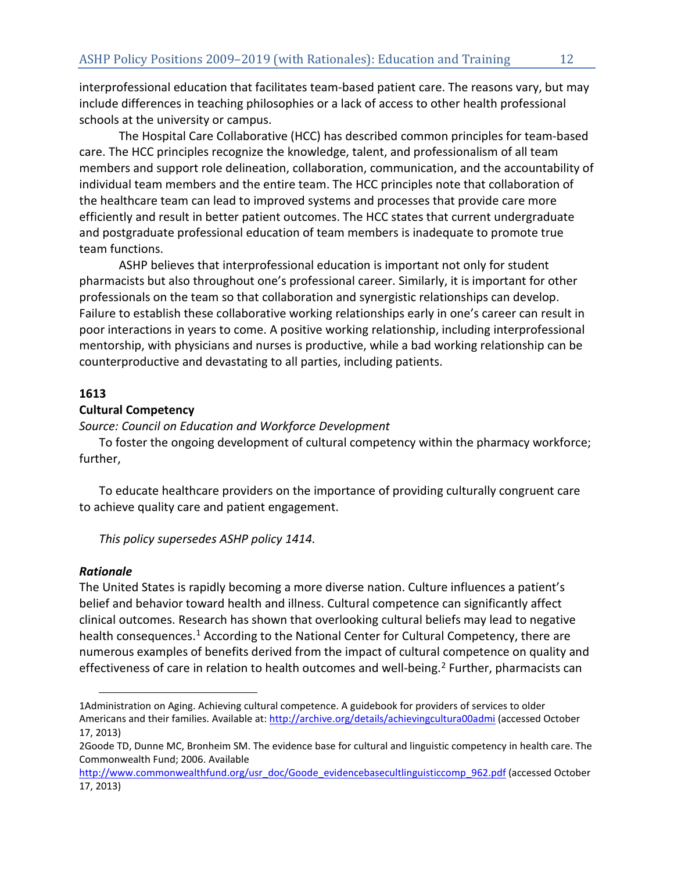interprofessional education that facilitates team-based patient care. The reasons vary, but may include differences in teaching philosophies or a lack of access to other health professional schools at the university or campus.

The Hospital Care Collaborative (HCC) has described common principles for team-based care. The HCC principles recognize the knowledge, talent, and professionalism of all team members and support role delineation, collaboration, communication, and the accountability of individual team members and the entire team. The HCC principles note that collaboration of the healthcare team can lead to improved systems and processes that provide care more efficiently and result in better patient outcomes. The HCC states that current undergraduate and postgraduate professional education of team members is inadequate to promote true team functions.

ASHP believes that interprofessional education is important not only for student pharmacists but also throughout one's professional career. Similarly, it is important for other professionals on the team so that collaboration and synergistic relationships can develop. Failure to establish these collaborative working relationships early in one's career can result in poor interactions in years to come. A positive working relationship, including interprofessional mentorship, with physicians and nurses is productive, while a bad working relationship can be counterproductive and devastating to all parties, including patients.

# **1613**

# **Cultural Competency**

*Source: Council on Education and Workforce Development*

To foster the ongoing development of cultural competency within the pharmacy workforce; further,

To educate healthcare providers on the importance of providing culturally congruent care to achieve quality care and patient engagement.

*This policy supersedes ASHP policy 1414.* 

# *Rationale*

l

The United States is rapidly becoming a more diverse nation. Culture influences a patient's belief and behavior toward health and illness. Cultural competence can significantly affect clinical outcomes. Research has shown that overlooking cultural beliefs may lead to negative health consequences.<sup>[1](#page-12-0)</sup> According to the National Center for Cultural Competency, there are numerous examples of benefits derived from the impact of cultural competence on quality and effectiveness of care in relation to health outcomes and well-being.<sup>[2](#page-12-1)</sup> Further, pharmacists can

<span id="page-12-0"></span><sup>1</sup>Administration on Aging. Achieving cultural competence. A guidebook for providers of services to older Americans and their families. Available at: <http://archive.org/details/achievingcultura00admi> (accessed October 17, 2013)

<span id="page-12-1"></span><sup>2</sup>Goode TD, Dunne MC, Bronheim SM. The evidence base for cultural and linguistic competency in health care. The Commonwealth Fund; 2006. Available

[http://www.commonwealthfund.org/usr\\_doc/Goode\\_evidencebasecultlinguisticcomp\\_962.pdf](http://www.commonwealthfund.org/usr_doc/Goode_evidencebasecultlinguisticcomp_962.pdf) (accessed October 17, 2013)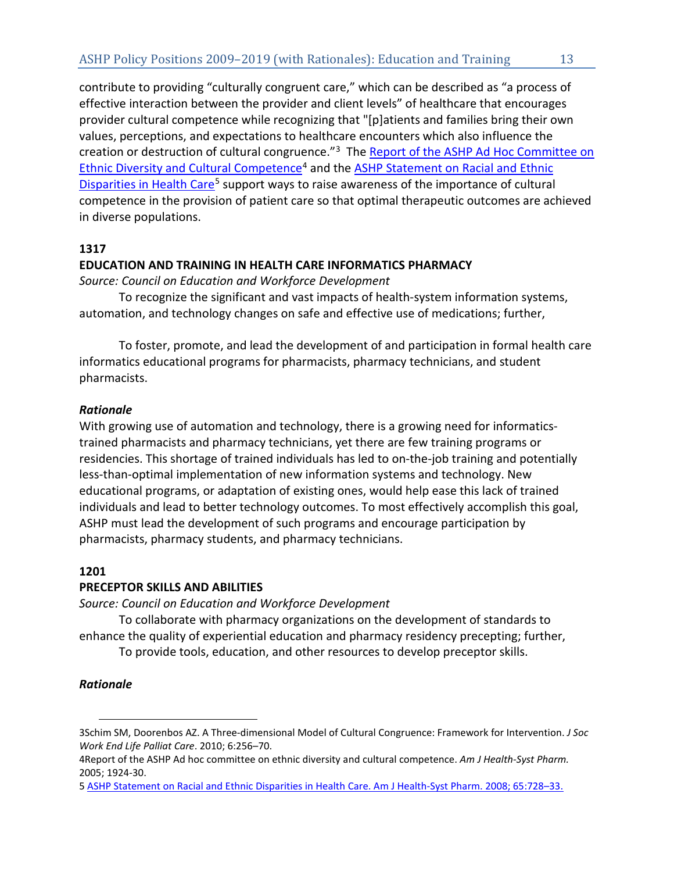contribute to providing "culturally congruent care," which can be described as "a process of effective interaction between the provider and client levels" of healthcare that encourages provider cultural competence while recognizing that "[p]atients and families bring their own values, perceptions, and expectations to healthcare encounters which also influence the creation or destruction of cultural congruence."[3](#page-13-0) The [Report of the ASHP Ad Hoc Committee on](http://www.ajhp.org/content/62/18/1924.full.pdf+html)  [Ethnic Diversity and Cultural Competence](http://www.ajhp.org/content/62/18/1924.full.pdf+html)<sup>[4](#page-13-1)</sup> and the ASHP Statement on Racial and Ethnic [Disparities in Health Care](http://www.ashp.org/DocLibrary/BestPractices/SpecificStDisparities.aspx)<sup>[5](#page-13-2)</sup> support ways to raise awareness of the importance of cultural competence in the provision of patient care so that optimal therapeutic outcomes are achieved in diverse populations.

# **1317**

# **EDUCATION AND TRAINING IN HEALTH CARE INFORMATICS PHARMACY**

*Source: Council on Education and Workforce Development*

To recognize the significant and vast impacts of health-system information systems, automation, and technology changes on safe and effective use of medications; further,

To foster, promote, and lead the development of and participation in formal health care informatics educational programs for pharmacists, pharmacy technicians, and student pharmacists.

# *Rationale*

With growing use of automation and technology, there is a growing need for informaticstrained pharmacists and pharmacy technicians, yet there are few training programs or residencies. This shortage of trained individuals has led to on-the-job training and potentially less-than-optimal implementation of new information systems and technology. New educational programs, or adaptation of existing ones, would help ease this lack of trained individuals and lead to better technology outcomes. To most effectively accomplish this goal, ASHP must lead the development of such programs and encourage participation by pharmacists, pharmacy students, and pharmacy technicians.

# **1201**

# **PRECEPTOR SKILLS AND ABILITIES**

*Source: Council on Education and Workforce Development*

To collaborate with pharmacy organizations on the development of standards to enhance the quality of experiential education and pharmacy residency precepting; further,

To provide tools, education, and other resources to develop preceptor skills.

# *Rationale*

 $\overline{a}$ 

<span id="page-13-0"></span><sup>3</sup>Schim SM, Doorenbos AZ. A Three-dimensional Model of Cultural Congruence: Framework for Intervention. *J Soc Work End Life Palliat Care*. 2010; 6:256–70.

<span id="page-13-1"></span><sup>4</sup>Report of the ASHP Ad hoc committee on ethnic diversity and cultural competence. *Am J Health-Syst Pharm.* 2005; 1924-30.

<span id="page-13-2"></span>[<sup>5</sup> ASHP Statement on Racial and Ethnic Disparities in Health Care.](http://www.ashp.org/DocLibrary/BestPractices/SpecificStDisparities.aspx) Am J Health-Syst Pharm. 2008; 65:728–33.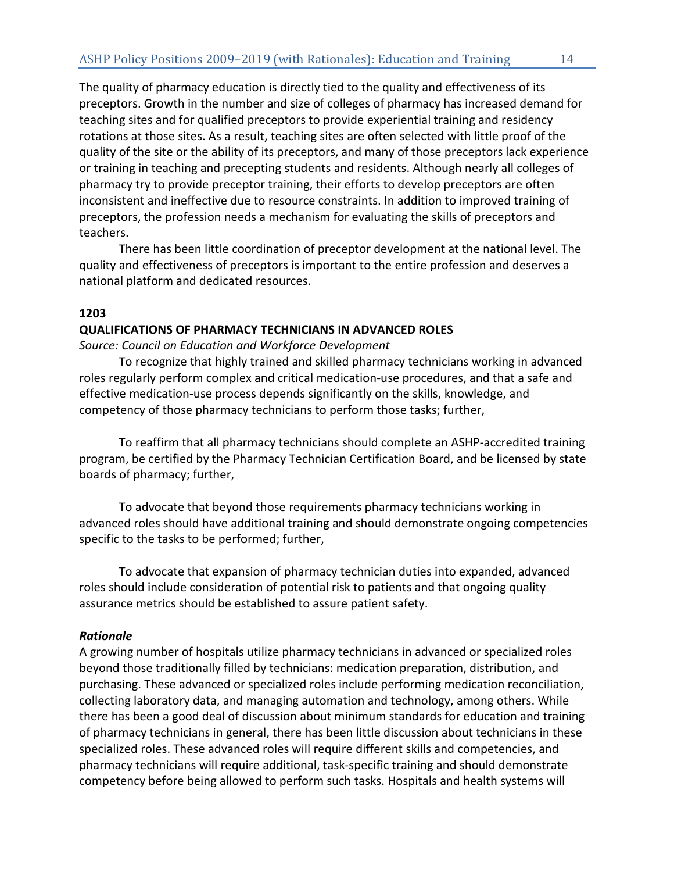The quality of pharmacy education is directly tied to the quality and effectiveness of its preceptors. Growth in the number and size of colleges of pharmacy has increased demand for teaching sites and for qualified preceptors to provide experiential training and residency rotations at those sites. As a result, teaching sites are often selected with little proof of the quality of the site or the ability of its preceptors, and many of those preceptors lack experience or training in teaching and precepting students and residents. Although nearly all colleges of pharmacy try to provide preceptor training, their efforts to develop preceptors are often inconsistent and ineffective due to resource constraints. In addition to improved training of preceptors, the profession needs a mechanism for evaluating the skills of preceptors and teachers.

There has been little coordination of preceptor development at the national level. The quality and effectiveness of preceptors is important to the entire profession and deserves a national platform and dedicated resources.

## **1203**

## **QUALIFICATIONS OF PHARMACY TECHNICIANS IN ADVANCED ROLES**

*Source: Council on Education and Workforce Development*

To recognize that highly trained and skilled pharmacy technicians working in advanced roles regularly perform complex and critical medication-use procedures, and that a safe and effective medication-use process depends significantly on the skills, knowledge, and competency of those pharmacy technicians to perform those tasks; further,

To reaffirm that all pharmacy technicians should complete an ASHP-accredited training program, be certified by the Pharmacy Technician Certification Board, and be licensed by state boards of pharmacy; further,

To advocate that beyond those requirements pharmacy technicians working in advanced roles should have additional training and should demonstrate ongoing competencies specific to the tasks to be performed; further,

To advocate that expansion of pharmacy technician duties into expanded, advanced roles should include consideration of potential risk to patients and that ongoing quality assurance metrics should be established to assure patient safety.

## *Rationale*

A growing number of hospitals utilize pharmacy technicians in advanced or specialized roles beyond those traditionally filled by technicians: medication preparation, distribution, and purchasing. These advanced or specialized roles include performing medication reconciliation, collecting laboratory data, and managing automation and technology, among others. While there has been a good deal of discussion about minimum standards for education and training of pharmacy technicians in general, there has been little discussion about technicians in these specialized roles. These advanced roles will require different skills and competencies, and pharmacy technicians will require additional, task-specific training and should demonstrate competency before being allowed to perform such tasks. Hospitals and health systems will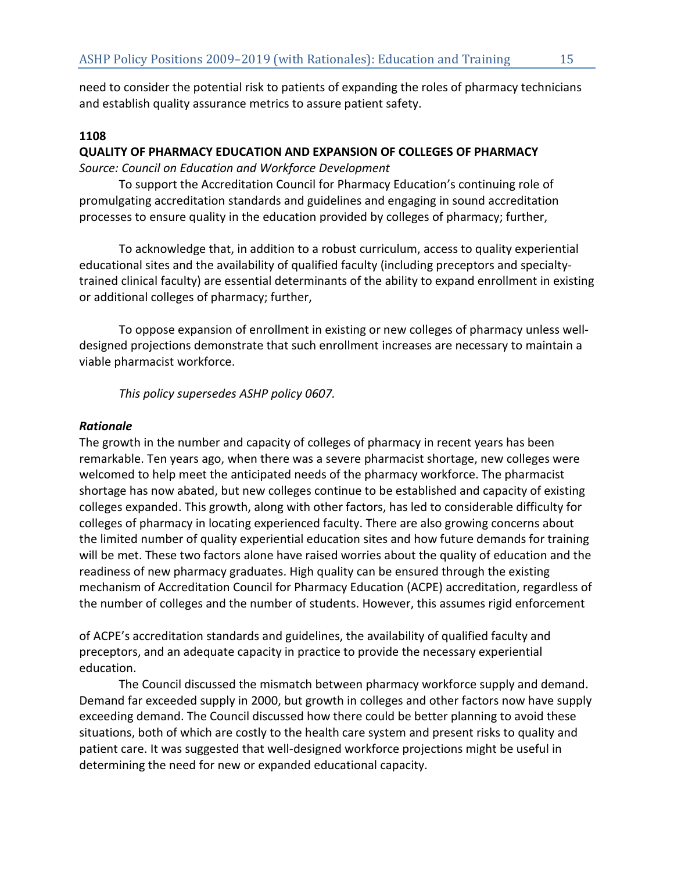need to consider the potential risk to patients of expanding the roles of pharmacy technicians and establish quality assurance metrics to assure patient safety.

# **1108**

# **QUALITY OF PHARMACY EDUCATION AND EXPANSION OF COLLEGES OF PHARMACY**

*Source: Council on Education and Workforce Development*

To support the Accreditation Council for Pharmacy Education's continuing role of promulgating accreditation standards and guidelines and engaging in sound accreditation processes to ensure quality in the education provided by colleges of pharmacy; further,

To acknowledge that, in addition to a robust curriculum, access to quality experiential educational sites and the availability of qualified faculty (including preceptors and specialtytrained clinical faculty) are essential determinants of the ability to expand enrollment in existing or additional colleges of pharmacy; further,

To oppose expansion of enrollment in existing or new colleges of pharmacy unless welldesigned projections demonstrate that such enrollment increases are necessary to maintain a viable pharmacist workforce.

*This policy supersedes ASHP policy 0607.*

# *Rationale*

The growth in the number and capacity of colleges of pharmacy in recent years has been remarkable. Ten years ago, when there was a severe pharmacist shortage, new colleges were welcomed to help meet the anticipated needs of the pharmacy workforce. The pharmacist shortage has now abated, but new colleges continue to be established and capacity of existing colleges expanded. This growth, along with other factors, has led to considerable difficulty for colleges of pharmacy in locating experienced faculty. There are also growing concerns about the limited number of quality experiential education sites and how future demands for training will be met. These two factors alone have raised worries about the quality of education and the readiness of new pharmacy graduates. High quality can be ensured through the existing mechanism of Accreditation Council for Pharmacy Education (ACPE) accreditation, regardless of the number of colleges and the number of students. However, this assumes rigid enforcement

of ACPE's accreditation standards and guidelines, the availability of qualified faculty and preceptors, and an adequate capacity in practice to provide the necessary experiential education.

The Council discussed the mismatch between pharmacy workforce supply and demand. Demand far exceeded supply in 2000, but growth in colleges and other factors now have supply exceeding demand. The Council discussed how there could be better planning to avoid these situations, both of which are costly to the health care system and present risks to quality and patient care. It was suggested that well-designed workforce projections might be useful in determining the need for new or expanded educational capacity.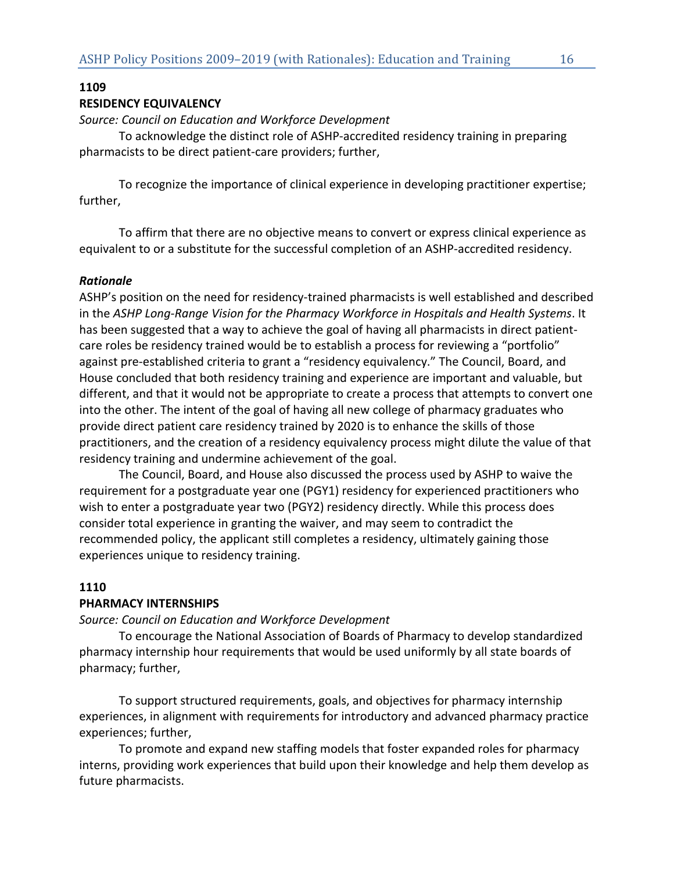# **1109**

## **RESIDENCY EQUIVALENCY**

*Source: Council on Education and Workforce Development*

To acknowledge the distinct role of ASHP-accredited residency training in preparing pharmacists to be direct patient-care providers; further,

To recognize the importance of clinical experience in developing practitioner expertise; further,

To affirm that there are no objective means to convert or express clinical experience as equivalent to or a substitute for the successful completion of an ASHP-accredited residency.

## *Rationale*

ASHP's position on the need for residency-trained pharmacists is well established and described in the *ASHP Long-Range Vision for the Pharmacy Workforce in Hospitals and Health Systems*. It has been suggested that a way to achieve the goal of having all pharmacists in direct patientcare roles be residency trained would be to establish a process for reviewing a "portfolio" against pre-established criteria to grant a "residency equivalency." The Council, Board, and House concluded that both residency training and experience are important and valuable, but different, and that it would not be appropriate to create a process that attempts to convert one into the other. The intent of the goal of having all new college of pharmacy graduates who provide direct patient care residency trained by 2020 is to enhance the skills of those practitioners, and the creation of a residency equivalency process might dilute the value of that residency training and undermine achievement of the goal.

The Council, Board, and House also discussed the process used by ASHP to waive the requirement for a postgraduate year one (PGY1) residency for experienced practitioners who wish to enter a postgraduate year two (PGY2) residency directly. While this process does consider total experience in granting the waiver, and may seem to contradict the recommended policy, the applicant still completes a residency, ultimately gaining those experiences unique to residency training.

## **1110**

#### **PHARMACY INTERNSHIPS**

*Source: Council on Education and Workforce Development*

To encourage the National Association of Boards of Pharmacy to develop standardized pharmacy internship hour requirements that would be used uniformly by all state boards of pharmacy; further,

To support structured requirements, goals, and objectives for pharmacy internship experiences, in alignment with requirements for introductory and advanced pharmacy practice experiences; further,

To promote and expand new staffing models that foster expanded roles for pharmacy interns, providing work experiences that build upon their knowledge and help them develop as future pharmacists.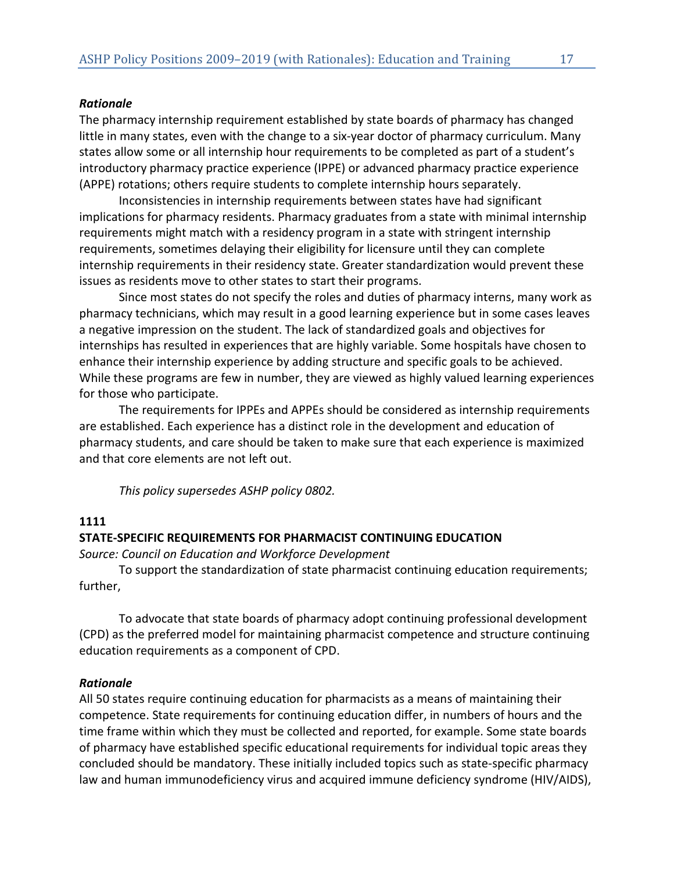# *Rationale*

The pharmacy internship requirement established by state boards of pharmacy has changed little in many states, even with the change to a six-year doctor of pharmacy curriculum. Many states allow some or all internship hour requirements to be completed as part of a student's introductory pharmacy practice experience (IPPE) or advanced pharmacy practice experience (APPE) rotations; others require students to complete internship hours separately.

Inconsistencies in internship requirements between states have had significant implications for pharmacy residents. Pharmacy graduates from a state with minimal internship requirements might match with a residency program in a state with stringent internship requirements, sometimes delaying their eligibility for licensure until they can complete internship requirements in their residency state. Greater standardization would prevent these issues as residents move to other states to start their programs.

Since most states do not specify the roles and duties of pharmacy interns, many work as pharmacy technicians, which may result in a good learning experience but in some cases leaves a negative impression on the student. The lack of standardized goals and objectives for internships has resulted in experiences that are highly variable. Some hospitals have chosen to enhance their internship experience by adding structure and specific goals to be achieved. While these programs are few in number, they are viewed as highly valued learning experiences for those who participate.

The requirements for IPPEs and APPEs should be considered as internship requirements are established. Each experience has a distinct role in the development and education of pharmacy students, and care should be taken to make sure that each experience is maximized and that core elements are not left out.

*This policy supersedes ASHP policy 0802.*

# **1111**

# **STATE-SPECIFIC REQUIREMENTS FOR PHARMACIST CONTINUING EDUCATION**

*Source: Council on Education and Workforce Development*

To support the standardization of state pharmacist continuing education requirements; further,

To advocate that state boards of pharmacy adopt continuing professional development (CPD) as the preferred model for maintaining pharmacist competence and structure continuing education requirements as a component of CPD.

# *Rationale*

All 50 states require continuing education for pharmacists as a means of maintaining their competence. State requirements for continuing education differ, in numbers of hours and the time frame within which they must be collected and reported, for example. Some state boards of pharmacy have established specific educational requirements for individual topic areas they concluded should be mandatory. These initially included topics such as state-specific pharmacy law and human immunodeficiency virus and acquired immune deficiency syndrome (HIV/AIDS),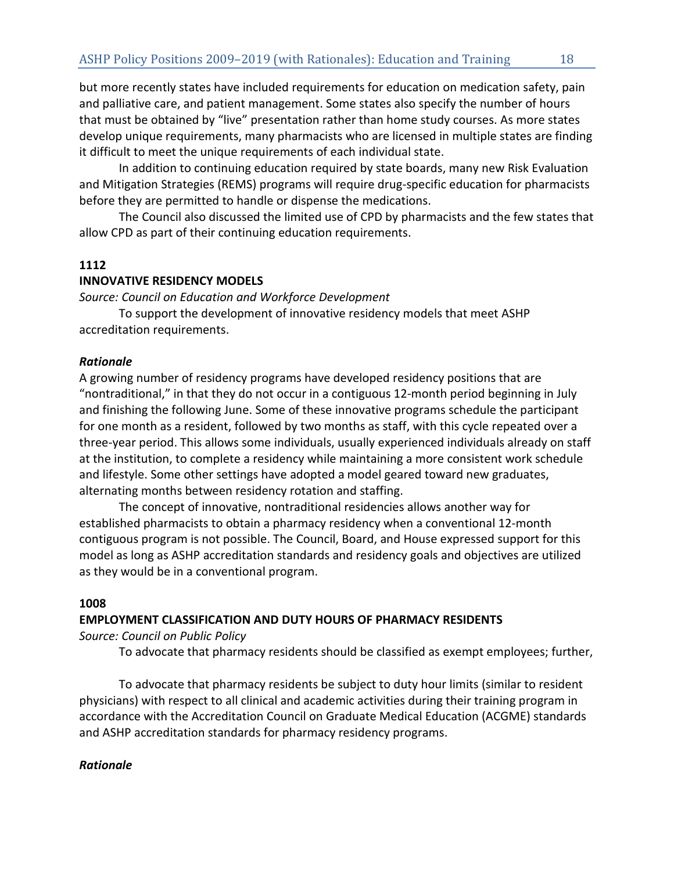but more recently states have included requirements for education on medication safety, pain and palliative care, and patient management. Some states also specify the number of hours that must be obtained by "live" presentation rather than home study courses. As more states develop unique requirements, many pharmacists who are licensed in multiple states are finding it difficult to meet the unique requirements of each individual state.

In addition to continuing education required by state boards, many new Risk Evaluation and Mitigation Strategies (REMS) programs will require drug-specific education for pharmacists before they are permitted to handle or dispense the medications.

The Council also discussed the limited use of CPD by pharmacists and the few states that allow CPD as part of their continuing education requirements.

# **1112**

# **INNOVATIVE RESIDENCY MODELS**

*Source: Council on Education and Workforce Development*

To support the development of innovative residency models that meet ASHP accreditation requirements.

# *Rationale*

A growing number of residency programs have developed residency positions that are "nontraditional," in that they do not occur in a contiguous 12-month period beginning in July and finishing the following June. Some of these innovative programs schedule the participant for one month as a resident, followed by two months as staff, with this cycle repeated over a three-year period. This allows some individuals, usually experienced individuals already on staff at the institution, to complete a residency while maintaining a more consistent work schedule and lifestyle. Some other settings have adopted a model geared toward new graduates, alternating months between residency rotation and staffing.

The concept of innovative, nontraditional residencies allows another way for established pharmacists to obtain a pharmacy residency when a conventional 12-month contiguous program is not possible. The Council, Board, and House expressed support for this model as long as ASHP accreditation standards and residency goals and objectives are utilized as they would be in a conventional program.

# **1008**

# **EMPLOYMENT CLASSIFICATION AND DUTY HOURS OF PHARMACY RESIDENTS**

*Source: Council on Public Policy*

To advocate that pharmacy residents should be classified as exempt employees; further,

To advocate that pharmacy residents be subject to duty hour limits (similar to resident physicians) with respect to all clinical and academic activities during their training program in accordance with the Accreditation Council on Graduate Medical Education (ACGME) standards and ASHP accreditation standards for pharmacy residency programs.

# *Rationale*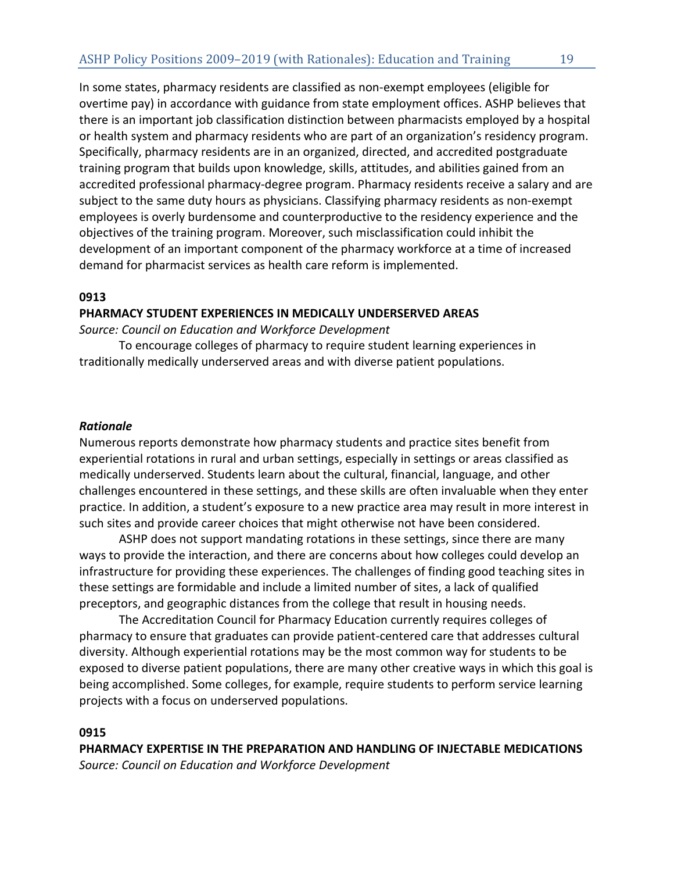In some states, pharmacy residents are classified as non-exempt employees (eligible for overtime pay) in accordance with guidance from state employment offices. ASHP believes that there is an important job classification distinction between pharmacists employed by a hospital or health system and pharmacy residents who are part of an organization's residency program. Specifically, pharmacy residents are in an organized, directed, and accredited postgraduate training program that builds upon knowledge, skills, attitudes, and abilities gained from an accredited professional pharmacy-degree program. Pharmacy residents receive a salary and are subject to the same duty hours as physicians. Classifying pharmacy residents as non-exempt employees is overly burdensome and counterproductive to the residency experience and the objectives of the training program. Moreover, such misclassification could inhibit the development of an important component of the pharmacy workforce at a time of increased demand for pharmacist services as health care reform is implemented.

## **0913**

## **PHARMACY STUDENT EXPERIENCES IN MEDICALLY UNDERSERVED AREAS**

*Source: Council on Education and Workforce Development*

To encourage colleges of pharmacy to require student learning experiences in traditionally medically underserved areas and with diverse patient populations.

## *Rationale*

Numerous reports demonstrate how pharmacy students and practice sites benefit from experiential rotations in rural and urban settings, especially in settings or areas classified as medically underserved. Students learn about the cultural, financial, language, and other challenges encountered in these settings, and these skills are often invaluable when they enter practice. In addition, a student's exposure to a new practice area may result in more interest in such sites and provide career choices that might otherwise not have been considered.

ASHP does not support mandating rotations in these settings, since there are many ways to provide the interaction, and there are concerns about how colleges could develop an infrastructure for providing these experiences. The challenges of finding good teaching sites in these settings are formidable and include a limited number of sites, a lack of qualified preceptors, and geographic distances from the college that result in housing needs.

The Accreditation Council for Pharmacy Education currently requires colleges of pharmacy to ensure that graduates can provide patient-centered care that addresses cultural diversity. Although experiential rotations may be the most common way for students to be exposed to diverse patient populations, there are many other creative ways in which this goal is being accomplished. Some colleges, for example, require students to perform service learning projects with a focus on underserved populations.

## **0915**

**PHARMACY EXPERTISE IN THE PREPARATION AND HANDLING OF INJECTABLE MEDICATIONS** *Source: Council on Education and Workforce Development*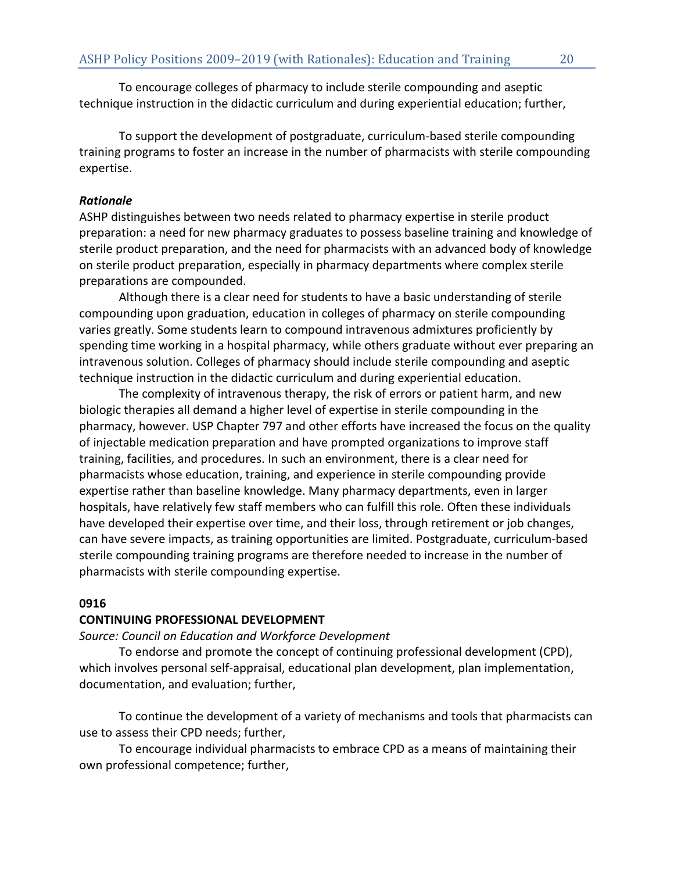To encourage colleges of pharmacy to include sterile compounding and aseptic technique instruction in the didactic curriculum and during experiential education; further,

To support the development of postgraduate, curriculum-based sterile compounding training programs to foster an increase in the number of pharmacists with sterile compounding expertise.

# *Rationale*

ASHP distinguishes between two needs related to pharmacy expertise in sterile product preparation: a need for new pharmacy graduates to possess baseline training and knowledge of sterile product preparation, and the need for pharmacists with an advanced body of knowledge on sterile product preparation, especially in pharmacy departments where complex sterile preparations are compounded.

Although there is a clear need for students to have a basic understanding of sterile compounding upon graduation, education in colleges of pharmacy on sterile compounding varies greatly. Some students learn to compound intravenous admixtures proficiently by spending time working in a hospital pharmacy, while others graduate without ever preparing an intravenous solution. Colleges of pharmacy should include sterile compounding and aseptic technique instruction in the didactic curriculum and during experiential education.

The complexity of intravenous therapy, the risk of errors or patient harm, and new biologic therapies all demand a higher level of expertise in sterile compounding in the pharmacy, however. USP Chapter 797 and other efforts have increased the focus on the quality of injectable medication preparation and have prompted organizations to improve staff training, facilities, and procedures. In such an environment, there is a clear need for pharmacists whose education, training, and experience in sterile compounding provide expertise rather than baseline knowledge. Many pharmacy departments, even in larger hospitals, have relatively few staff members who can fulfill this role. Often these individuals have developed their expertise over time, and their loss, through retirement or job changes, can have severe impacts, as training opportunities are limited. Postgraduate, curriculum-based sterile compounding training programs are therefore needed to increase in the number of pharmacists with sterile compounding expertise.

# **0916**

# **CONTINUING PROFESSIONAL DEVELOPMENT**

# *Source: Council on Education and Workforce Development*

To endorse and promote the concept of continuing professional development (CPD), which involves personal self-appraisal, educational plan development, plan implementation, documentation, and evaluation; further,

To continue the development of a variety of mechanisms and tools that pharmacists can use to assess their CPD needs; further,

To encourage individual pharmacists to embrace CPD as a means of maintaining their own professional competence; further,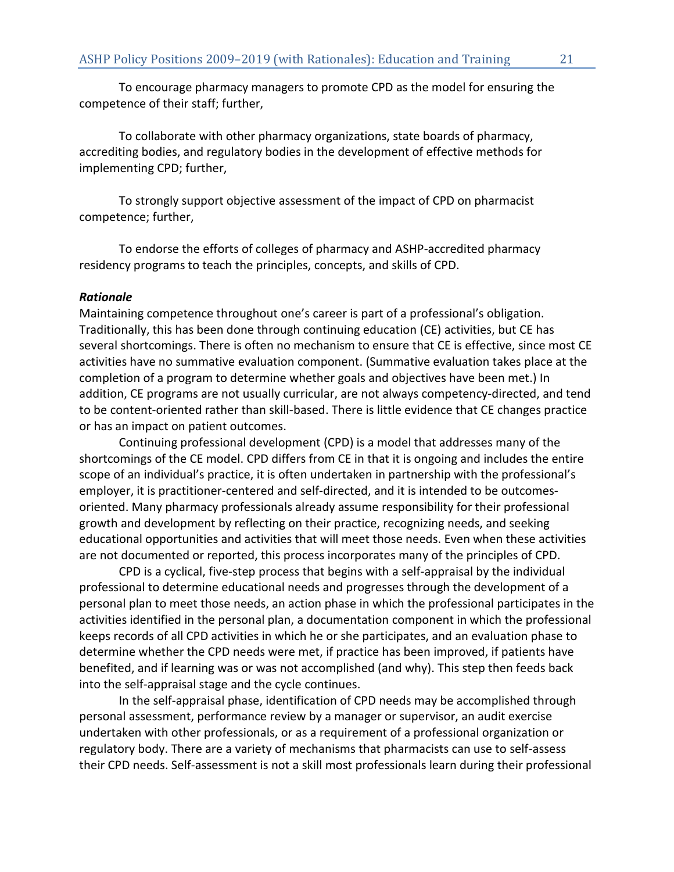To encourage pharmacy managers to promote CPD as the model for ensuring the competence of their staff; further,

To collaborate with other pharmacy organizations, state boards of pharmacy, accrediting bodies, and regulatory bodies in the development of effective methods for implementing CPD; further,

To strongly support objective assessment of the impact of CPD on pharmacist competence; further,

To endorse the efforts of colleges of pharmacy and ASHP-accredited pharmacy residency programs to teach the principles, concepts, and skills of CPD.

## *Rationale*

Maintaining competence throughout one's career is part of a professional's obligation. Traditionally, this has been done through continuing education (CE) activities, but CE has several shortcomings. There is often no mechanism to ensure that CE is effective, since most CE activities have no summative evaluation component. (Summative evaluation takes place at the completion of a program to determine whether goals and objectives have been met.) In addition, CE programs are not usually curricular, are not always competency-directed, and tend to be content-oriented rather than skill-based. There is little evidence that CE changes practice or has an impact on patient outcomes.

Continuing professional development (CPD) is a model that addresses many of the shortcomings of the CE model. CPD differs from CE in that it is ongoing and includes the entire scope of an individual's practice, it is often undertaken in partnership with the professional's employer, it is practitioner-centered and self-directed, and it is intended to be outcomesoriented. Many pharmacy professionals already assume responsibility for their professional growth and development by reflecting on their practice, recognizing needs, and seeking educational opportunities and activities that will meet those needs. Even when these activities are not documented or reported, this process incorporates many of the principles of CPD.

CPD is a cyclical, five-step process that begins with a self-appraisal by the individual professional to determine educational needs and progresses through the development of a personal plan to meet those needs, an action phase in which the professional participates in the activities identified in the personal plan, a documentation component in which the professional keeps records of all CPD activities in which he or she participates, and an evaluation phase to determine whether the CPD needs were met, if practice has been improved, if patients have benefited, and if learning was or was not accomplished (and why). This step then feeds back into the self-appraisal stage and the cycle continues.

In the self-appraisal phase, identification of CPD needs may be accomplished through personal assessment, performance review by a manager or supervisor, an audit exercise undertaken with other professionals, or as a requirement of a professional organization or regulatory body. There are a variety of mechanisms that pharmacists can use to self-assess their CPD needs. Self-assessment is not a skill most professionals learn during their professional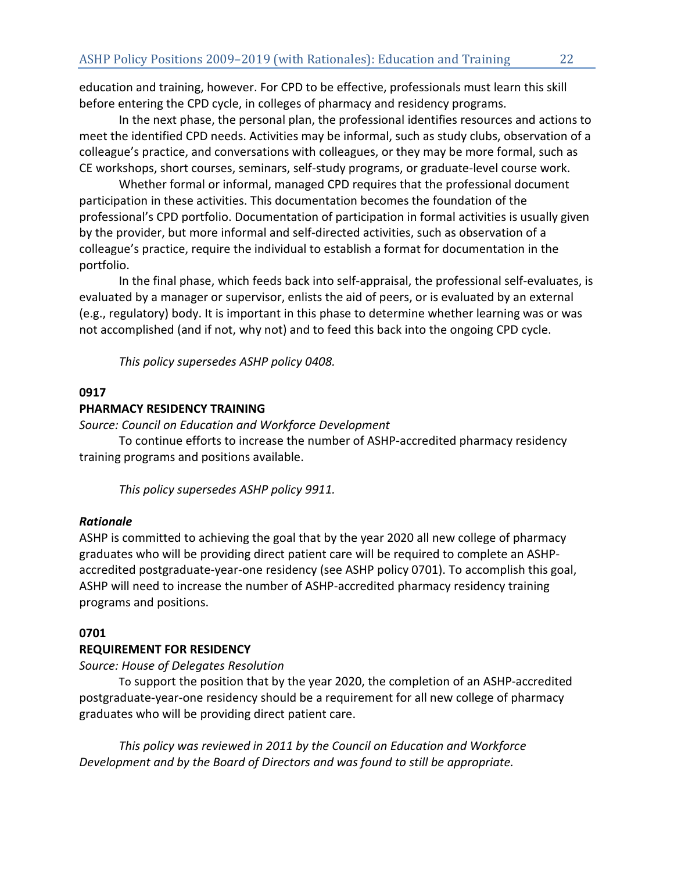education and training, however. For CPD to be effective, professionals must learn this skill before entering the CPD cycle, in colleges of pharmacy and residency programs.

In the next phase, the personal plan, the professional identifies resources and actions to meet the identified CPD needs. Activities may be informal, such as study clubs, observation of a colleague's practice, and conversations with colleagues, or they may be more formal, such as CE workshops, short courses, seminars, self-study programs, or graduate-level course work.

Whether formal or informal, managed CPD requires that the professional document participation in these activities. This documentation becomes the foundation of the professional's CPD portfolio. Documentation of participation in formal activities is usually given by the provider, but more informal and self-directed activities, such as observation of a colleague's practice, require the individual to establish a format for documentation in the portfolio.

In the final phase, which feeds back into self-appraisal, the professional self-evaluates, is evaluated by a manager or supervisor, enlists the aid of peers, or is evaluated by an external (e.g., regulatory) body. It is important in this phase to determine whether learning was or was not accomplished (and if not, why not) and to feed this back into the ongoing CPD cycle.

*This policy supersedes ASHP policy 0408.*

# **0917**

# **PHARMACY RESIDENCY TRAINING**

*Source: Council on Education and Workforce Development*

To continue efforts to increase the number of ASHP-accredited pharmacy residency training programs and positions available.

*This policy supersedes ASHP policy 9911.*

## *Rationale*

ASHP is committed to achieving the goal that by the year 2020 all new college of pharmacy graduates who will be providing direct patient care will be required to complete an ASHPaccredited postgraduate-year-one residency (see ASHP policy 0701). To accomplish this goal, ASHP will need to increase the number of ASHP-accredited pharmacy residency training programs and positions.

## **0701**

## **REQUIREMENT FOR RESIDENCY**

# *Source: House of Delegates Resolution*

To support the position that by the year 2020, the completion of an ASHP-accredited postgraduate-year-one residency should be a requirement for all new college of pharmacy graduates who will be providing direct patient care.

*This policy was reviewed in 2011 by the Council on Education and Workforce Development and by the Board of Directors and was found to still be appropriate.*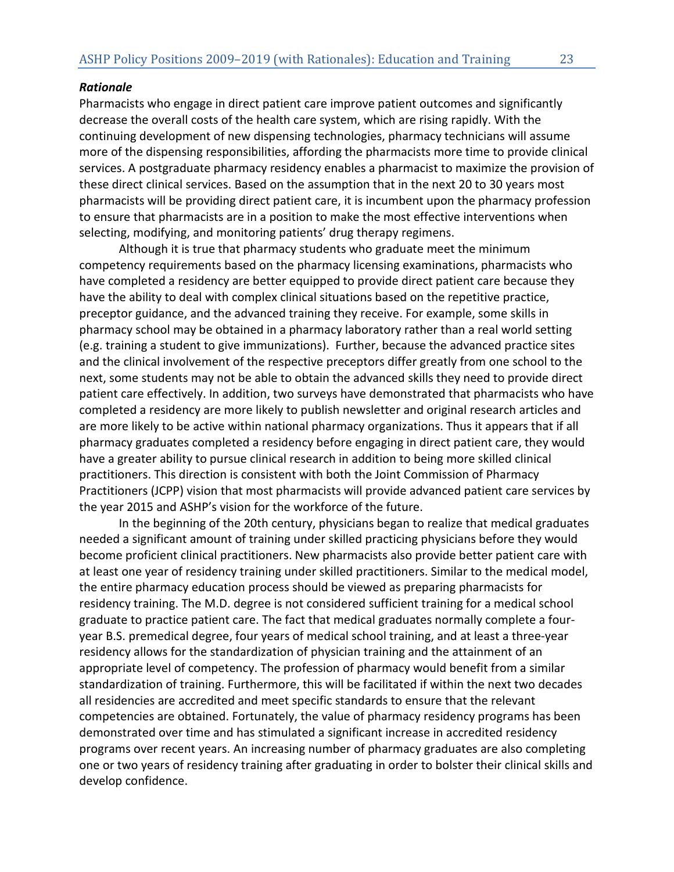## *Rationale*

Pharmacists who engage in direct patient care improve patient outcomes and significantly decrease the overall costs of the health care system, which are rising rapidly. With the continuing development of new dispensing technologies, pharmacy technicians will assume more of the dispensing responsibilities, affording the pharmacists more time to provide clinical services. A postgraduate pharmacy residency enables a pharmacist to maximize the provision of these direct clinical services. Based on the assumption that in the next 20 to 30 years most pharmacists will be providing direct patient care, it is incumbent upon the pharmacy profession to ensure that pharmacists are in a position to make the most effective interventions when selecting, modifying, and monitoring patients' drug therapy regimens.

Although it is true that pharmacy students who graduate meet the minimum competency requirements based on the pharmacy licensing examinations, pharmacists who have completed a residency are better equipped to provide direct patient care because they have the ability to deal with complex clinical situations based on the repetitive practice, preceptor guidance, and the advanced training they receive. For example, some skills in pharmacy school may be obtained in a pharmacy laboratory rather than a real world setting (e.g. training a student to give immunizations). Further, because the advanced practice sites and the clinical involvement of the respective preceptors differ greatly from one school to the next, some students may not be able to obtain the advanced skills they need to provide direct patient care effectively. In addition, two surveys have demonstrated that pharmacists who have completed a residency are more likely to publish newsletter and original research articles and are more likely to be active within national pharmacy organizations. Thus it appears that if all pharmacy graduates completed a residency before engaging in direct patient care, they would have a greater ability to pursue clinical research in addition to being more skilled clinical practitioners. This direction is consistent with both the Joint Commission of Pharmacy Practitioners (JCPP) vision that most pharmacists will provide advanced patient care services by the year 2015 and ASHP's vision for the workforce of the future.

In the beginning of the 20th century, physicians began to realize that medical graduates needed a significant amount of training under skilled practicing physicians before they would become proficient clinical practitioners. New pharmacists also provide better patient care with at least one year of residency training under skilled practitioners. Similar to the medical model, the entire pharmacy education process should be viewed as preparing pharmacists for residency training. The M.D. degree is not considered sufficient training for a medical school graduate to practice patient care. The fact that medical graduates normally complete a fouryear B.S. premedical degree, four years of medical school training, and at least a three-year residency allows for the standardization of physician training and the attainment of an appropriate level of competency. The profession of pharmacy would benefit from a similar standardization of training. Furthermore, this will be facilitated if within the next two decades all residencies are accredited and meet specific standards to ensure that the relevant competencies are obtained. Fortunately, the value of pharmacy residency programs has been demonstrated over time and has stimulated a significant increase in accredited residency programs over recent years. An increasing number of pharmacy graduates are also completing one or two years of residency training after graduating in order to bolster their clinical skills and develop confidence.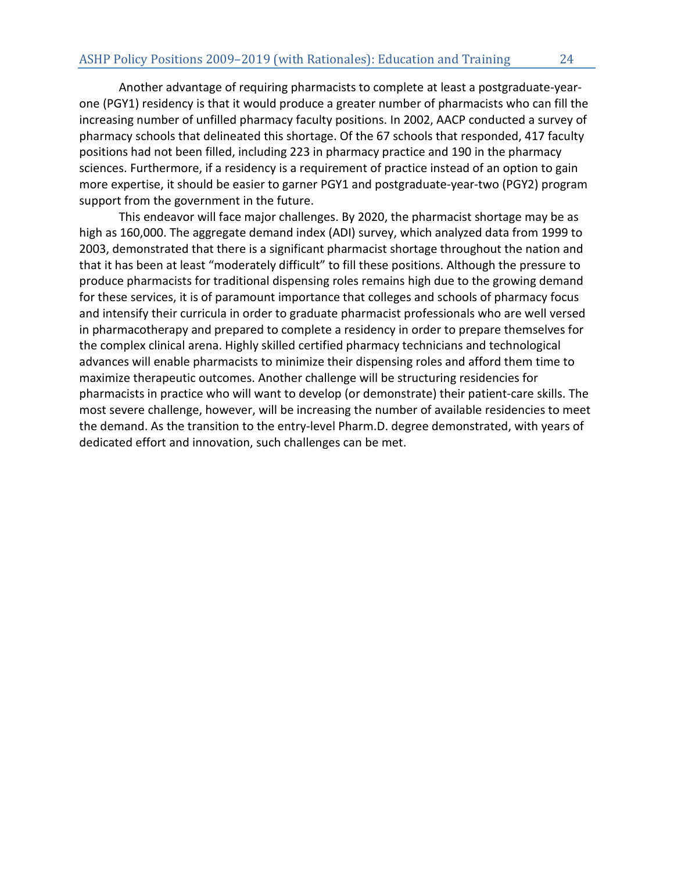Another advantage of requiring pharmacists to complete at least a postgraduate-yearone (PGY1) residency is that it would produce a greater number of pharmacists who can fill the increasing number of unfilled pharmacy faculty positions. In 2002, AACP conducted a survey of pharmacy schools that delineated this shortage. Of the 67 schools that responded, 417 faculty positions had not been filled, including 223 in pharmacy practice and 190 in the pharmacy sciences. Furthermore, if a residency is a requirement of practice instead of an option to gain more expertise, it should be easier to garner PGY1 and postgraduate-year-two (PGY2) program support from the government in the future.

This endeavor will face major challenges. By 2020, the pharmacist shortage may be as high as 160,000. The aggregate demand index (ADI) survey, which analyzed data from 1999 to 2003, demonstrated that there is a significant pharmacist shortage throughout the nation and that it has been at least "moderately difficult" to fill these positions. Although the pressure to produce pharmacists for traditional dispensing roles remains high due to the growing demand for these services, it is of paramount importance that colleges and schools of pharmacy focus and intensify their curricula in order to graduate pharmacist professionals who are well versed in pharmacotherapy and prepared to complete a residency in order to prepare themselves for the complex clinical arena. Highly skilled certified pharmacy technicians and technological advances will enable pharmacists to minimize their dispensing roles and afford them time to maximize therapeutic outcomes. Another challenge will be structuring residencies for pharmacists in practice who will want to develop (or demonstrate) their patient-care skills. The most severe challenge, however, will be increasing the number of available residencies to meet the demand. As the transition to the entry-level Pharm.D. degree demonstrated, with years of dedicated effort and innovation, such challenges can be met.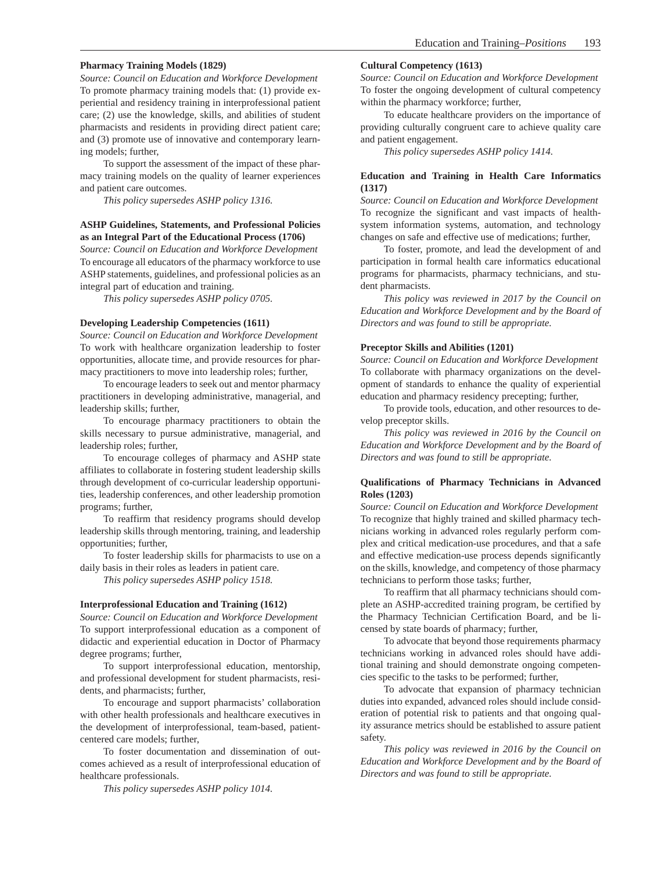#### **Pharmacy Training Models (1829)**

*Source: Council on Education and Workforce Development*  To promote pharmacy training models that: (1) provide experiential and residency training in interprofessional patient care; (2) use the knowledge, skills, and abilities of student pharmacists and residents in providing direct patient care; and (3) promote use of innovative and contemporary learning models; further,

To support the assessment of the impact of these pharmacy training models on the quality of learner experiences and patient care outcomes.

*This policy supersedes ASHP policy 1316.*

#### **ASHP Guidelines, Statements, and Professional Policies as an Integral Part of the Educational Process (1706)**

*Source: Council on Education and Workforce Development* To encourage all educators of the pharmacy workforce to use ASHP statements, guidelines, and professional policies as an integral part of education and training.

*This policy supersedes ASHP policy 0705.*

#### **Developing Leadership Competencies (1611)**

*Source: Council on Education and Workforce Development* To work with healthcare organization leadership to foster opportunities, allocate time, and provide resources for pharmacy practitioners to move into leadership roles; further,

To encourage leaders to seek out and mentor pharmacy practitioners in developing administrative, managerial, and leadership skills; further,

To encourage pharmacy practitioners to obtain the skills necessary to pursue administrative, managerial, and leadership roles; further,

To encourage colleges of pharmacy and ASHP state affiliates to collaborate in fostering student leadership skills through development of co-curricular leadership opportunities, leadership conferences, and other leadership promotion programs; further,

To reaffirm that residency programs should develop leadership skills through mentoring, training, and leadership opportunities; further,

To foster leadership skills for pharmacists to use on a daily basis in their roles as leaders in patient care.

*This policy supersedes ASHP policy 1518.*

#### **Interprofessional Education and Training (1612)**

*Source: Council on Education and Workforce Development* To support interprofessional education as a component of didactic and experiential education in Doctor of Pharmacy degree programs; further,

To support interprofessional education, mentorship, and professional development for student pharmacists, residents, and pharmacists; further,

To encourage and support pharmacists' collaboration with other health professionals and healthcare executives in the development of interprofessional, team-based, patientcentered care models; further,

To foster documentation and dissemination of outcomes achieved as a result of interprofessional education of healthcare professionals.

*This policy supersedes ASHP policy 1014.*

#### **Cultural Competency (1613)**

*Source: Council on Education and Workforce Development* To foster the ongoing development of cultural competency within the pharmacy workforce; further,

To educate healthcare providers on the importance of providing culturally congruent care to achieve quality care and patient engagement.

*This policy supersedes ASHP policy 1414.*

#### **Education and Training in Health Care Informatics (1317)**

*Source: Council on Education and Workforce Development* To recognize the significant and vast impacts of healthsystem information systems, automation, and technology changes on safe and effective use of medications; further,

To foster, promote, and lead the development of and participation in formal health care informatics educational programs for pharmacists, pharmacy technicians, and student pharmacists.

*This policy was reviewed in 2017 by the Council on Education and Workforce Development and by the Board of Directors and was found to still be appropriate.*

#### **Preceptor Skills and Abilities (1201)**

*Source: Council on Education and Workforce Development* To collaborate with pharmacy organizations on the development of standards to enhance the quality of experiential education and pharmacy residency precepting; further,

To provide tools, education, and other resources to develop preceptor skills.

*This policy was reviewed in 2016 by the Council on Education and Workforce Development and by the Board of Directors and was found to still be appropriate.*

#### **Qualifications of Pharmacy Technicians in Advanced Roles (1203)**

*Source: Council on Education and Workforce Development* To recognize that highly trained and skilled pharmacy technicians working in advanced roles regularly perform complex and critical medication-use procedures, and that a safe and effective medication-use process depends significantly on the skills, knowledge, and competency of those pharmacy technicians to perform those tasks; further,

To reaffirm that all pharmacy technicians should complete an ASHP-accredited training program, be certified by the Pharmacy Technician Certification Board, and be licensed by state boards of pharmacy; further,

To advocate that beyond those requirements pharmacy technicians working in advanced roles should have additional training and should demonstrate ongoing competencies specific to the tasks to be performed; further,

To advocate that expansion of pharmacy technician duties into expanded, advanced roles should include consideration of potential risk to patients and that ongoing quality assurance metrics should be established to assure patient safety.

*This policy was reviewed in 2016 by the Council on Education and Workforce Development and by the Board of Directors and was found to still be appropriate.*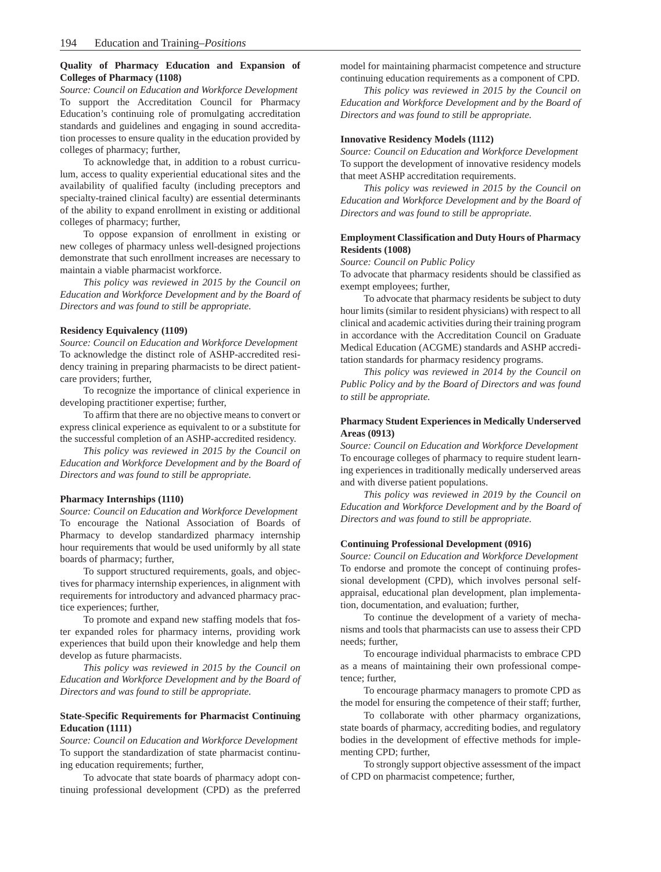#### **Quality of Pharmacy Education and Expansion of Colleges of Pharmacy (1108)**

*Source: Council on Education and Workforce Development* To support the Accreditation Council for Pharmacy Education's continuing role of promulgating accreditation standards and guidelines and engaging in sound accreditation processes to ensure quality in the education provided by colleges of pharmacy; further,

To acknowledge that, in addition to a robust curriculum, access to quality experiential educational sites and the availability of qualified faculty (including preceptors and specialty-trained clinical faculty) are essential determinants of the ability to expand enrollment in existing or additional colleges of pharmacy; further,

To oppose expansion of enrollment in existing or new colleges of pharmacy unless well-designed projections demonstrate that such enrollment increases are necessary to maintain a viable pharmacist workforce.

*This policy was reviewed in 2015 by the Council on Education and Workforce Development and by the Board of Directors and was found to still be appropriate.*

#### **Residency Equivalency (1109)**

*Source: Council on Education and Workforce Development* To acknowledge the distinct role of ASHP-accredited residency training in preparing pharmacists to be direct patientcare providers; further,

To recognize the importance of clinical experience in developing practitioner expertise; further,

To affirm that there are no objective means to convert or express clinical experience as equivalent to or a substitute for the successful completion of an ASHP-accredited residency.

*This policy was reviewed in 2015 by the Council on Education and Workforce Development and by the Board of Directors and was found to still be appropriate.*

#### **Pharmacy Internships (1110)**

*Source: Council on Education and Workforce Development* To encourage the National Association of Boards of Pharmacy to develop standardized pharmacy internship hour requirements that would be used uniformly by all state boards of pharmacy; further,

To support structured requirements, goals, and objectives for pharmacy internship experiences, in alignment with requirements for introductory and advanced pharmacy practice experiences; further,

To promote and expand new staffing models that foster expanded roles for pharmacy interns, providing work experiences that build upon their knowledge and help them develop as future pharmacists.

*This policy was reviewed in 2015 by the Council on Education and Workforce Development and by the Board of Directors and was found to still be appropriate.*

#### **State-Specific Requirements for Pharmacist Continuing Education (1111)**

*Source: Council on Education and Workforce Development* To support the standardization of state pharmacist continuing education requirements; further,

To advocate that state boards of pharmacy adopt continuing professional development (CPD) as the preferred

model for maintaining pharmacist competence and structure continuing education requirements as a component of CPD.

*This policy was reviewed in 2015 by the Council on Education and Workforce Development and by the Board of Directors and was found to still be appropriate.*

#### **Innovative Residency Models (1112)**

*Source: Council on Education and Workforce Development* To support the development of innovative residency models that meet ASHP accreditation requirements.

*This policy was reviewed in 2015 by the Council on Education and Workforce Development and by the Board of Directors and was found to still be appropriate.*

#### **Employment Classification and Duty Hours of Pharmacy Residents (1008)**

*Source: Council on Public Policy*

To advocate that pharmacy residents should be classified as exempt employees; further,

To advocate that pharmacy residents be subject to duty hour limits (similar to resident physicians) with respect to all clinical and academic activities during their training program in accordance with the Accreditation Council on Graduate Medical Education (ACGME) standards and ASHP accreditation standards for pharmacy residency programs.

*This policy was reviewed in 2014 by the Council on Public Policy and by the Board of Directors and was found to still be appropriate.*

#### **Pharmacy Student Experiences in Medically Underserved Areas (0913)**

*Source: Council on Education and Workforce Development* To encourage colleges of pharmacy to require student learning experiences in traditionally medically underserved areas and with diverse patient populations.

*This policy was reviewed in 2019 by the Council on Education and Workforce Development and by the Board of Directors and was found to still be appropriate.*

#### **Continuing Professional Development (0916)**

*Source: Council on Education and Workforce Development* To endorse and promote the concept of continuing professional development (CPD), which involves personal selfappraisal, educational plan development, plan implementation, documentation, and evaluation; further,

To continue the development of a variety of mechanisms and tools that pharmacists can use to assess their CPD needs; further,

To encourage individual pharmacists to embrace CPD as a means of maintaining their own professional competence; further,

To encourage pharmacy managers to promote CPD as the model for ensuring the competence of their staff; further,

To collaborate with other pharmacy organizations, state boards of pharmacy, accrediting bodies, and regulatory bodies in the development of effective methods for implementing CPD; further,

To strongly support objective assessment of the impact of CPD on pharmacist competence; further,